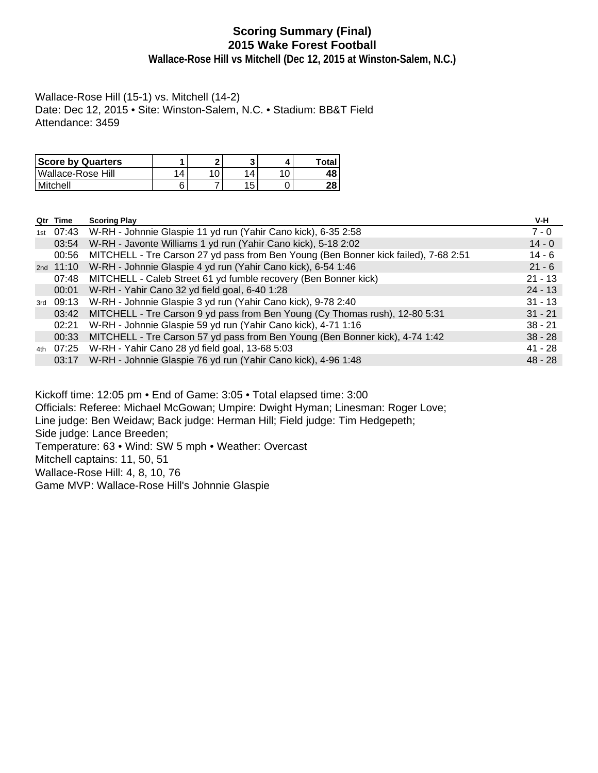# **Scoring Summary (Final) 2015 Wake Forest Football**

**Wallace-Rose Hill vs Mitchell (Dec 12, 2015 at Winston-Salem, N.C.)**

Wallace-Rose Hill (15-1) vs. Mitchell (14-2) Date: Dec 12, 2015 • Site: Winston-Salem, N.C. • Stadium: BB&T Field Attendance: 3459

| <b>Score by Quarters</b> |    | ົ |    |     | Total |
|--------------------------|----|---|----|-----|-------|
| Wallace-Rose Hill        | 14 | 0 | 14 | 1 ∩ | 48    |
| l Mitchell               |    |   | 15 |     | 28    |

|     | Qtr Time    | <b>Scoring Play</b>                                                                 | V-H       |
|-----|-------------|-------------------------------------------------------------------------------------|-----------|
|     |             | 1st 07:43 W-RH - Johnnie Glaspie 11 yd run (Yahir Cano kick), 6-35 2:58             | $7 - 0$   |
|     | 03:54       | W-RH - Javonte Williams 1 yd run (Yahir Cano kick), 5-18 2:02                       | $14 - 0$  |
|     | 00:56       | MITCHELL - Tre Carson 27 yd pass from Ben Young (Ben Bonner kick failed), 7-68 2:51 | $14 - 6$  |
|     | 2nd $11:10$ | W-RH - Johnnie Glaspie 4 yd run (Yahir Cano kick), 6-54 1:46                        | $21 - 6$  |
|     | 07:48       | MITCHELL - Caleb Street 61 yd fumble recovery (Ben Bonner kick)                     | $21 - 13$ |
|     |             | 00:01 W-RH - Yahir Cano 32 yd field goal, 6-40 1:28                                 | $24 - 13$ |
| 3rd | 09:13       | W-RH - Johnnie Glaspie 3 yd run (Yahir Cano kick), 9-78 2:40                        | $31 - 13$ |
|     | 03:42       | MITCHELL - Tre Carson 9 yd pass from Ben Young (Cy Thomas rush), 12-80 5:31         | $31 - 21$ |
|     | 02:21       | W-RH - Johnnie Glaspie 59 yd run (Yahir Cano kick), 4-71 1:16                       | $38 - 21$ |
|     | 00:33       | MITCHELL - Tre Carson 57 yd pass from Ben Young (Ben Bonner kick), 4-74 1:42        | $38 - 28$ |
| 4th |             | 07:25 W-RH - Yahir Cano 28 yd field goal, 13-68 5:03                                | $41 - 28$ |
|     | 03:17       | W-RH - Johnnie Glaspie 76 yd run (Yahir Cano kick), 4-96 1:48                       | $48 - 28$ |
|     |             |                                                                                     |           |

Kickoff time: 12:05 pm • End of Game: 3:05 • Total elapsed time: 3:00

Officials: Referee: Michael McGowan; Umpire: Dwight Hyman; Linesman: Roger Love;

Line judge: Ben Weidaw; Back judge: Herman Hill; Field judge: Tim Hedgepeth;

Side judge: Lance Breeden;

Temperature: 63 • Wind: SW 5 mph • Weather: Overcast

Mitchell captains: 11, 50, 51

Wallace-Rose Hill: 4, 8, 10, 76

Game MVP: Wallace-Rose Hill's Johnnie Glaspie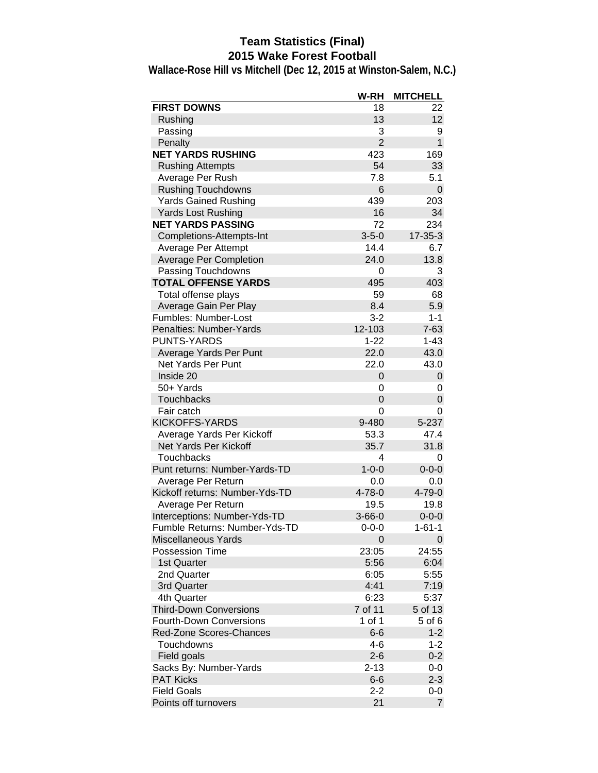# **Team Statistics (Final) 2015 Wake Forest Football**

|                                | W-RH           | <b>MITCHELL</b> |
|--------------------------------|----------------|-----------------|
| <b>FIRST DOWNS</b>             | 18             | 22              |
| Rushing                        | 13             | 12              |
| Passing                        | 3              | 9               |
| Penalty                        | $\overline{2}$ | $\mathbf{1}$    |
| <b>NET YARDS RUSHING</b>       | 423            | 169             |
| <b>Rushing Attempts</b>        | 54             | 33              |
| Average Per Rush               | 7.8            | 5.1             |
| <b>Rushing Touchdowns</b>      | 6              | 0               |
| <b>Yards Gained Rushing</b>    | 439            | 203             |
| <b>Yards Lost Rushing</b>      | 16             | 34              |
| <b>NET YARDS PASSING</b>       | 72             | 234             |
| Completions-Attempts-Int       | $3 - 5 - 0$    | $17 - 35 - 3$   |
| Average Per Attempt            | 14.4           | 6.7             |
| Average Per Completion         | 24.0           | 13.8            |
| Passing Touchdowns             | 0              | 3               |
| <b>TOTAL OFFENSE YARDS</b>     | 495            | 403             |
| Total offense plays            | 59             | 68              |
| Average Gain Per Play          | 8.4            | 5.9             |
| Fumbles: Number-Lost           | $3 - 2$        | $1 - 1$         |
| Penalties: Number-Yards        | 12-103         | $7 - 63$        |
| <b>PUNTS-YARDS</b>             | $1 - 22$       | $1 - 43$        |
| Average Yards Per Punt         | 22.0           | 43.0            |
| Net Yards Per Punt             | 22.0           | 43.0            |
| Inside 20                      | 0              | 0               |
| 50+ Yards                      | 0              | 0               |
| <b>Touchbacks</b>              | 0              | 0               |
| Fair catch                     | 0              | 0               |
| <b>KICKOFFS-YARDS</b>          | 9-480          | 5-237           |
| Average Yards Per Kickoff      | 53.3           | 47.4            |
| Net Yards Per Kickoff          | 35.7           | 31.8            |
| Touchbacks                     | 4              | 0               |
| Punt returns: Number-Yards-TD  | $1 - 0 - 0$    | $0 - 0 - 0$     |
| Average Per Return             | 0.0            | 0.0             |
| Kickoff returns: Number-Yds-TD | 4-78-0         | $4 - 79 - 0$    |
| Average Per Return             | 19.5           | 19.8            |
| Interceptions: Number-Yds-TD   | $3 - 66 - 0$   | $0 - 0 - 0$     |
| Fumble Returns: Number-Yds-TD  | $0 - 0 - 0$    | $1 - 61 - 1$    |
| Miscellaneous Yards            | 0              | 0               |
| <b>Possession Time</b>         | 23:05          | 24:55           |
| 1st Quarter                    | 5:56           | 6:04            |
| 2nd Quarter                    | 6:05           | 5:55            |
| 3rd Quarter                    | 4:41           | 7:19            |
| 4th Quarter                    | 6:23           | 5:37            |
| <b>Third-Down Conversions</b>  | 7 of 11        | 5 of 13         |
| <b>Fourth-Down Conversions</b> | 1 of 1         | 5 of 6          |
| Red-Zone Scores-Chances        | $6-6$          | $1 - 2$         |
| Touchdowns                     | $4 - 6$        | $1 - 2$         |
| Field goals                    | $2 - 6$        | $0 - 2$         |
| Sacks By: Number-Yards         | $2 - 13$       | $0-0$           |
| <b>PAT Kicks</b>               | $6-6$          | $2 - 3$         |
| <b>Field Goals</b>             | $2 - 2$        | 0-0             |
| Points off turnovers           | 21             | $\overline{7}$  |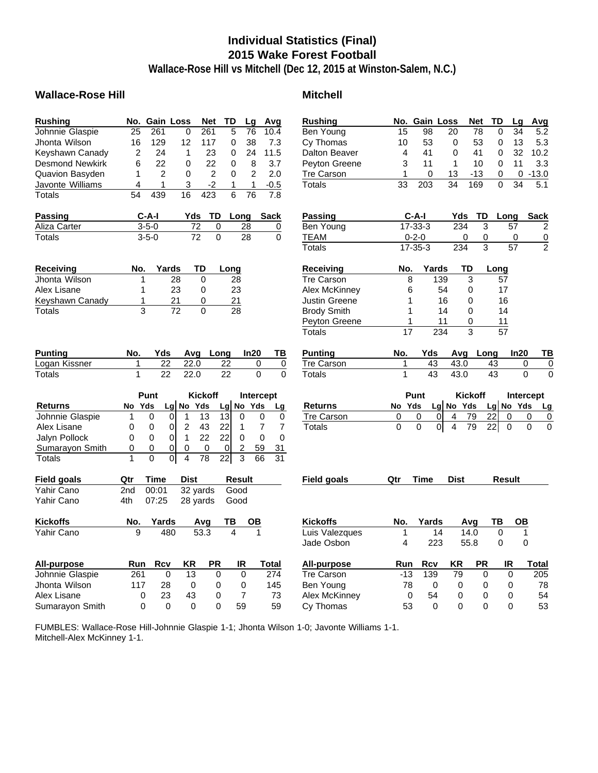# **Individual Statistics (Final) 2015 Wake Forest Football**

**Wallace-Rose Hill vs Mitchell (Dec 12, 2015 at Winston-Salem, N.C.)**

### Wallace-Rose Hill **Mitchell Mitchell**

| <b>Rushing</b>         | No.            | <b>Gain Loss</b> |                                  | Net             | TD              | Lg              | Avg                     | <b>Rushing</b>       |              | No. Gain Loss |                      | <b>Net</b>     | TD              | Lg            | Avg            |
|------------------------|----------------|------------------|----------------------------------|-----------------|-----------------|-----------------|-------------------------|----------------------|--------------|---------------|----------------------|----------------|-----------------|---------------|----------------|
| Johnnie Glaspie        | 25             | 261              | $\mathbf 0$                      | 261             | 5               | $\overline{76}$ | 10.4                    | Ben Young            | 15           | 98            | 20                   | 78             | 0               | 34            | 5.2            |
| Jhonta Wilson          | 16             | 129              | 12                               | 117             | 0               | 38              | 7.3                     | Cy Thomas            | 10           | 53            | 0                    | 53             | 0               | 13            | 5.3            |
| Keyshawn Canady        | $\overline{2}$ | 24               | $\mathbf{1}$                     | 23              | $\Omega$        | 24              | 11.5                    | <b>Dalton Beaver</b> | 4            | 41            | $\Omega$             | 41             | $\mathbf 0$     | 32            | 10.2           |
| <b>Desmond Newkirk</b> | 6              | 22               | 0                                | 22              | 0               | 8               | 3.7                     | Peyton Greene        | 3            | 11            | 1                    | 10             | 0               | 11            | 3.3            |
| <b>Quavion Basyden</b> | 1              | $\overline{2}$   | $\mathbf 0$                      | $\overline{2}$  | 0               | $\overline{2}$  | 2.0                     | <b>Tre Carson</b>    | 1            | 0             | 13                   | $-13$          | 0               | $\mathbf 0$   | $-13.0$        |
| Javonte Williams       | 4              | 1                | 3                                | $-2$            | 1               | 1               | $-0.5$                  | Totals               | 33           | 203           | 34                   | 169            | 0               | 34            | 5.1            |
| Totals                 | 54             | 439              | 16                               | 423             | 6               | 76              | 7.8                     |                      |              |               |                      |                |                 |               |                |
| <b>Passing</b>         |                | $C-A-I$          | Yds                              | TD              |                 | Long            | <b>Sack</b>             | Passing              |              | $C-A-I$       |                      | TD<br>Yds      |                 | Long          | <b>Sack</b>    |
| Aliza Carter           |                | $3 - 5 - 0$      | 72                               |                 | 0               | 28              | 0                       | Ben Young            |              | 17-33-3       |                      | 234            | 3               | 57            | $\overline{2}$ |
| Totals                 |                | $3 - 5 - 0$      |                                  | $\overline{72}$ | $\overline{0}$  | $\overline{28}$ | $\mathbf 0$             | <b>TEAM</b>          |              | $0 - 2 - 0$   |                      | 0              | 0               | 0             | $\overline{0}$ |
|                        |                |                  |                                  |                 |                 |                 |                         | <b>Totals</b>        |              | $17 - 35 - 3$ |                      | 234            | 3               | 57            | $\overline{2}$ |
| <b>Receiving</b>       | No.            |                  | Yards                            | TD              | Long            |                 |                         | <b>Receiving</b>     | No.          |               | Yards                | TD             | Long            |               |                |
| Jhonta Wilson          | 1              |                  | 28                               | $\Omega$        | 28              |                 |                         | <b>Tre Carson</b>    | 8            |               | 139                  | 3              | 57              |               |                |
| Alex Lisane            | 1              |                  | 23                               | 0               | 23              |                 |                         | Alex McKinney        | 6            |               | 54                   | 0              | 17              |               |                |
| Keyshawn Canady        |                | 1                | 21                               | 0               | 21              |                 |                         | <b>Justin Greene</b> | 1            |               | 16                   | 0              | 16              |               |                |
| Totals                 |                | $\overline{3}$   | 72                               | $\overline{0}$  | 28              |                 |                         | <b>Brody Smith</b>   | 1            |               | 14                   | 0              | 14              |               |                |
|                        |                |                  |                                  |                 |                 |                 |                         | Peyton Greene        | $\mathbf{1}$ |               | 11                   | 0              | 11              |               |                |
|                        |                |                  |                                  |                 |                 |                 |                         | <b>Totals</b>        | 17           |               | 234                  | 3              | $\overline{57}$ |               |                |
| <b>Punting</b>         | No.            | Yds              | Avg                              |                 | Long            | In20            | ΤВ                      | <b>Punting</b>       | No.          | Yds           |                      | Avg Long       |                 | In20          | ΤI             |
| Logan Kissner          | 1              | $\overline{22}$  | 22.0                             |                 | $\overline{22}$ | 0               | 0                       | <b>Tre Carson</b>    | 1            | 43            |                      | 43.0           | 43              |               | 0              |
| <b>Totals</b>          | 1              | 22               | 22.0                             |                 | 22              | $\Omega$        | $\Omega$                | <b>Totals</b>        | $\mathbf{1}$ | 43            |                      | 43.0           | 43              |               | $\Omega$       |
|                        |                | Punt             |                                  | <b>Kickoff</b>  |                 |                 | Intercept               |                      |              | Punt          |                      | <b>Kickoff</b> |                 |               | Intercept      |
| <b>Returns</b>         | No             | Yds              | No Yds<br>Lg                     |                 | Lg              | No Yds          | Lg                      | <b>Returns</b>       | No Yds       |               | $Lg$ No Yds          |                | Lg $No$ Yds     |               | L)             |
| Johnnie Glaspie        | $\mathbf{1}$   | 0                | 0<br>$\mathbf{1}$                | 13              | $\overline{13}$ | $\mathbf 0$     | 0<br>0                  | <b>Tre Carson</b>    | 0            | 0             | 4<br>$\Omega$        | 79             | 22              | 0             | 0              |
| Alex Lisane            | 0              | $\mathbf 0$      | 0<br>$\sqrt{2}$                  | 43              | 22              | 1               | 7<br>$\overline{7}$     | <b>Totals</b>        | $\Omega$     | 0             | οl<br>$\overline{4}$ | 79             | 22              | $\Omega$      | $\Omega$       |
| Jalyn Pollock          | 0              | 0                | 0<br>$\mathbf{1}$                | 22              | 22              | $\mathbf 0$     | $\Omega$<br>$\mathbf 0$ |                      |              |               |                      |                |                 |               |                |
| Sumarayon Smith        | 0              | 0                | 0<br>0                           | $\mathbf 0$     | $\mathbf 0$     | $\overline{c}$  | 59<br>31                |                      |              |               |                      |                |                 |               |                |
| <b>Totals</b>          | $\overline{1}$ | $\overline{0}$   | $\overline{0}$<br>$\overline{4}$ | $\overline{78}$ | $\overline{22}$ | $\overline{3}$  | $\overline{31}$<br>66   |                      |              |               |                      |                |                 |               |                |
| <b>Field goals</b>     | Qtr            | <b>Time</b>      | <b>Dist</b>                      |                 | <b>Result</b>   |                 |                         | <b>Field goals</b>   | Qtr          | <b>Time</b>   | <b>Dist</b>          |                |                 | <b>Result</b> |                |
| Yahir Cano             | 2nd            | 00:01            |                                  | 32 yards        | Good            |                 |                         |                      |              |               |                      |                |                 |               |                |
| Yahir Cano             | 4th            | 07:25            |                                  | 28 yards        | Good            |                 |                         |                      |              |               |                      |                |                 |               |                |
| <b>Kickoffs</b>        | No.            | Yards            |                                  | Avg             | ΤВ              | OВ              |                         | <b>Kickoffs</b>      | No.          | Yards         |                      | Avq            | ΤВ              | OВ            |                |
| Yahir Cano             | 9              |                  | 480                              | 53.3            | 4               | 1               |                         | Luis Valezques       | 1            |               | 14                   | 14.0           | $\mathsf 0$     |               | 1              |
|                        |                |                  |                                  |                 |                 |                 |                         | Jade Osbon           | 4            |               | 223                  | 55.8           | 0               |               | 0              |
| All-purpose            | Run            | <b>Rcv</b>       | ΚR                               | <b>PR</b>       |                 | IR              | Total                   | All-purpose          | Run          | <b>Rcv</b>    | KR                   | <b>PR</b>      |                 | IR            | Total          |
| Johnnie Glaspie        | 261            | $\mathbf 0$      | 13                               | $\mathbf 0$     |                 | $\mathbf 0$     | 274                     | <b>Tre Carson</b>    | $-13$        | 139           | 79                   |                | $\mathbf 0$     | $\Omega$      | 205            |
| Jhonta Wilson          | 117            | 28               | 0                                | 0               |                 | 0               | 145                     | Ben Young            | 78           | 0             |                      | 0              | 0               | 0             | 78             |
| Alex Lisane            |                | 0<br>23          | 43                               | 0               |                 | $\overline{7}$  | 73                      | Alex McKinney        | $\mathbf 0$  | 54            |                      | 0              | 0               | 0             | 54             |
| Sumarayon Smith        |                | $\Omega$         | $\Omega$<br>$\Omega$             |                 | 0               | 59              | 59                      | Cy Thomas            | 53           | $\Omega$      |                      | 0              | 0               | $\Omega$      | 53             |

| Rushing            |           | No. Gain Loss |                      | Net       | TD              | Lg        | Avg         |
|--------------------|-----------|---------------|----------------------|-----------|-----------------|-----------|-------------|
| Ben Young          | 15        | 98            | 20                   | 78        | 0               | 34        | 5.2         |
| Cy Thomas          | 10        | 53            | 0                    | 53        | 0               | 13        | 5.3         |
| Dalton Beaver      | 4         | 41            | 0                    | 41        | 0               | 32        | 10.2        |
| Peyton Greene      | 3         | 11            | 1                    | 10        | 0               | 11        | 3.3         |
| Tre Carson         | 1         | 0             | 13                   | $-13$     | 0               |           | $0 - 13.0$  |
| Totals             | 33        | 203           | 34                   | 169       | 0               | 34        | 5.1         |
| Passing            |           | C-A-I         | Yds                  | TD.       | Long            |           | <b>Sack</b> |
| <b>Ben Young</b>   |           | $17 - 33 - 3$ | 234                  | 3         |                 | 57        | 2           |
| <b>TEAM</b>        |           | $0 - 2 - 0$   |                      | 0<br>0    |                 | 0         |             |
| Totals             |           | 17-35-3       | 234                  | 3         |                 | 57        | $\bar{2}$   |
| <b>Receiving</b>   | No.       | Yards         |                      | TD        | Long            |           |             |
| Tre Carson         | 8         |               | 139                  | 3         | 57              |           |             |
| Alex McKinney      | 6         |               | 54                   | 0         | 17              |           |             |
| Justin Greene      | 1         |               | 16                   | 0         | 16              |           |             |
| <b>Brody Smith</b> | 1         |               | 14                   | 0         | 14              |           |             |
| Peyton Greene      | 1         |               | 11                   | 0         | 11              |           |             |
| Totals             | 17        |               | 234                  | 3         |                 |           |             |
| <b>Punting</b>     | No.       | Yds           | Avg                  |           | Long            | In20      | TB          |
| Tre Carson         | 1         | 43            | 43.0                 |           | 43              | 0         | 0           |
| Totals             | 1         | 43            | 43.0                 |           | 43              | 0         | 0           |
|                    |           | Punt          |                      | Kickoff   |                 | Intercept |             |
| <b>Returns</b>     | Yds<br>No |               | $Lg$ No Yds          |           | Lg No Yds       |           | Lg          |
| Tre Carson         | 0         | 0             | $\overline{4}$<br>01 | 79        | 22              | 0         | 0<br>0      |
| <b>Totals</b>      | 0         | 0             | $\overline{4}$<br>0  | 79        | $\overline{2}2$ | 0         | 0<br>0      |
|                    |           |               |                      |           |                 |           |             |
| Field goals        | Qtr       | Time          | Dist                 |           | Result          |           |             |
|                    |           |               |                      |           |                 |           |             |
| <b>Kickoffs</b>    | No.       | Yards         |                      | Avg       | ΤВ              | OВ        |             |
| Luis Valezques     | 1         | 14            |                      | 14.0      | 0               | 1         |             |
| Jade Osbon         | 4         | 223           |                      | 55.8      | 0               | 0         |             |
|                    |           |               |                      |           |                 |           |             |
| <b>All-purpose</b> | Run       | Rcv           | <b>KR</b>            | <b>PR</b> |                 | IR        | Total       |
| Tre Carson         | $-13$     | 139           | 79                   | 0         |                 | 0         | 205         |
| Ben Young          | 78        | 0             | 0                    | 0         |                 | 0         | 78          |
| Alex McKinney      | 0         | 54            | 0                    | 0         |                 | 0         | 54          |

FUMBLES: Wallace-Rose Hill-Johnnie Glaspie 1-1; Jhonta Wilson 1-0; Javonte Williams 1-1. Mitchell-Alex McKinney 1-1.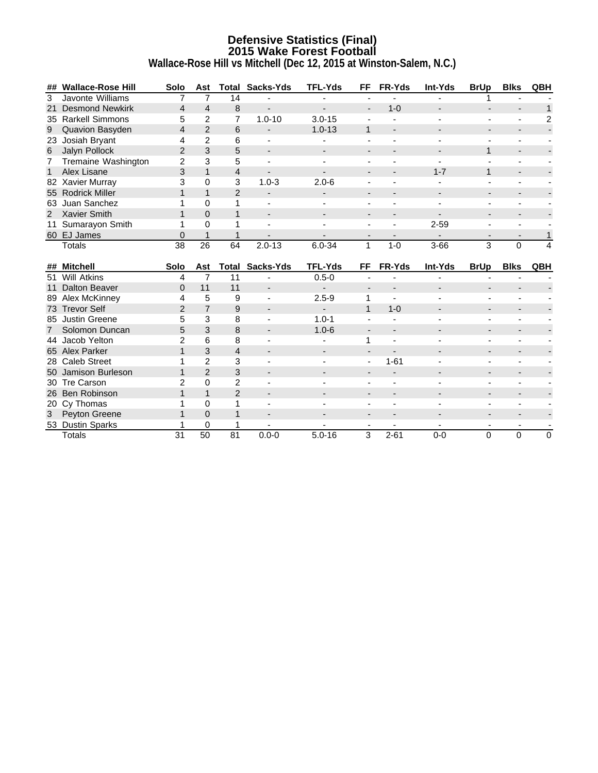### **Defensive Statistics (Final) 2015 Wake Forest Football Wallace-Rose Hill vs Mitchell (Dec 12, 2015 at Winston-Salem, N.C.)**

**## Wallace-Rose Hill Solo Ast Total Sacks-Yds TFL-Yds FF FR-Yds Int-Yds BrUp Blks QBH** 3 Javonte Williams 7 7 14 - - - - - - - - 1 21 Desmond Newkirk  $\begin{array}{ccccccccccccc} & 4 & 4 & 8 & - & & - & & - & & 1-0 & & - & & - & & - & & - & & 1 \end{array}$ 35 Rarkell Simmons 5 2 7 1.0-10 3.0-15 - - - - - 2 9 Quavion Basyden 4 2 6 - 1.0-13 1 - - - - - - - -23 Josiah Bryant 4 2 6 - - - - - - - - 6 Jalyn Pollock 2 3 5 - - - - - - - 1 -7 Tremaine Washington 2 3 5 - - - - - - - - 1 Alex Lisane 3 1 4 - - - 1 - -82 Xavier Murray 3 0 3 1.0-3 2.0-6 - - - - - - - - - -55 Rodrick Miller 1 1 2 - - - - - - - - 63 Juan Sanchez 1 0 1 - - - - - - - - - - - - - -2 Xavier Smith 1 0 1 - - - - - - - - - - - -11 Sumarayon Smith 1 0 1 - - - - - - 2-59 - -60 EJ James 0 1 1 - - - - - - - 1 Totals 38 26 64 2.0-13 6.0-34 1 1-0 3-66 3 0 4 **## Mitchell Solo Ast Total Sacks-Yds TFL-Yds FF FR-Yds Int-Yds BrUp Blks QBH** 51 Will Atkins 4 7 11 - 0.5-0 - - - - - - 11 Dalton Beaver 0 11 11 - - - - - - - - 89 Alex McKinney 4 5 9 - 2.5-9 1 - - - - - 73 Trevor Self **2 7 9 - 1 1-0** -85 Justin Greene 5 3 8 - 1.0-1 - - - - - - 7 Solomon Duncan 5 3 8 - 1.0-6 - - - - - - 44 Jacob Yelton 2 6 8 - - 1 - - - - - - -<br>65 Alex Parker 2 1 3 4 - - - - - - - - - - - -65 Alex Parker 1 3 4 - - - - - - - - 28 Caleb Street 1 2 3 - - - 1-61 - - - - -<br>50 Jamison Burleson 1 2 3 - - - - - - - - - - - -50 Jamison Burleson 1 2 3 - - - - - - - - 30 Tre Carson 2 0 2 - - - - - - - - - - -<br>26 Ben Robinson 1 1 2 - - - - - - - - - - -26 Ben Robinson 1 1 2 - - - - - - - - 20 Cy Thomas 20 Cy Thomas 20 Cy Thomas 20 Cy Thomas 20 Cy Thomas 20 Cy Thomas 20 Cy Thomas 20 Cy Thomas 20 Cy T<br>20 Cy Thomas 20 Cy Thomas 20 Cy Thomas 20 Cy Thomas 20 Cy Thomas 20 Cy Thomas 20 Cy Thomas 20 Cy Thomas 20 Cy 3 Peyton Greene 1 0 1 - - - - - - - - - - - - -53 Dustin Sparks 1 0 1 Totals 31 50 81 0.0-0 5.0-16 3 2-61 0-0 0 0 0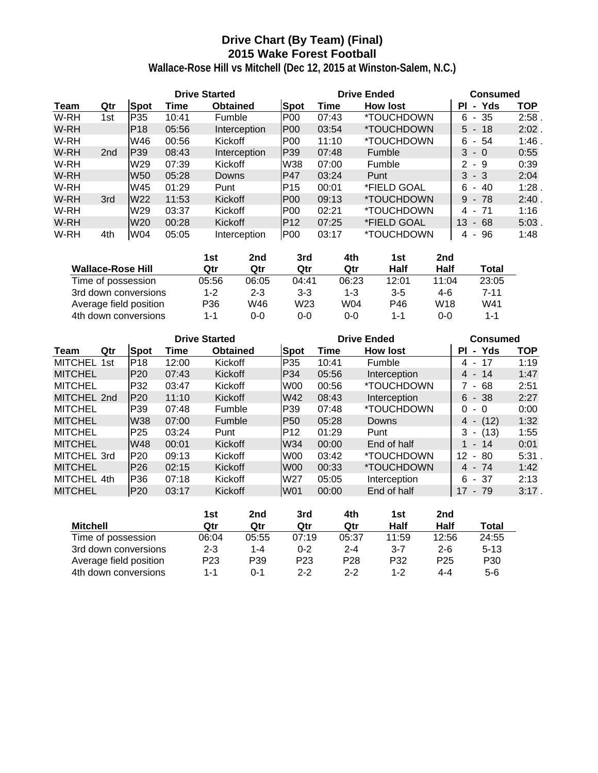# **Drive Chart (By Team) (Final) 2015 Wake Forest Football**

|      |                 |                 |       | <b>Drive Started</b> |                 | <b>Drive Ended</b> | <b>Consumed</b>          |                             |            |
|------|-----------------|-----------------|-------|----------------------|-----------------|--------------------|--------------------------|-----------------------------|------------|
| Team | Qtr             | <b>Spot</b>     | Time  | <b>Obtained</b>      | <b>Spot</b>     | Time               | <b>How lost</b>          | Yds<br>ΡI<br>$\blacksquare$ | <b>TOP</b> |
| W-RH | 1st             | P35             | 10:41 | Fumble               | <b>P00</b>      | 07:43              | *TOUCHDOWN               | - 35<br>6                   | 2:58       |
| W-RH |                 | IP18            | 05:56 | Interception         | <b>P00</b>      | 03:54              | *TOUCHDOWN               | $5 - 18$                    | $2:02$ .   |
| W-RH |                 | W46             | 00:56 | Kickoff              | P <sub>00</sub> | 11:10              | *TOUCHDOWN               | 6<br>54<br>$\sim$           | 1:46       |
| W-RH | 2 <sub>nd</sub> | P39             | 08:43 | Interception         | P39             | 07:48              | <b>Fumble</b>            | 3<br>- 0                    | 0:55       |
| W-RH |                 | W29             | 07:39 | Kickoff              | W38             | 07:00              | <b>Fumble</b>            | 2<br>- 9                    | 0:39       |
| W-RH |                 | W <sub>50</sub> | 05:28 | Downs                | P47             | 03:24              | Punt                     | 3<br>- 3                    | 2:04       |
| W-RH |                 | W45             | 01:29 | Punt                 | P <sub>15</sub> | 00:01              | *FIELD GOAL              | 6<br>40<br>$\sim$           | 1:28       |
| W-RH | 3rd             | W <sub>22</sub> | 11:53 | Kickoff              | <b>P00</b>      | 09:13              | <i><b>*TOUCHDOWN</b></i> | 9<br>$-78$                  | 2:40       |
| W-RH |                 | W <sub>29</sub> | 03:37 | Kickoff              | <b>P00</b>      | 02:21              | *TOUCHDOWN               | -71<br>4<br>$\sim$          | 1:16       |
| W-RH |                 | W <sub>20</sub> | 00:28 | Kickoff              | P <sub>12</sub> | 07:25              | *FIELD GOAL              | 13<br>68<br>$\sim$          | 5:03       |
| W-RH | 4th             | W04             | 05:05 | Interception         | <b>P00</b>      | 03:17              | *TOUCHDOWN               | 96<br>4<br>$\sim$           | 1:48       |

|                          | 1st     | 2nd     | 3rd     | 4th     | 1st     | 2nd             |              |
|--------------------------|---------|---------|---------|---------|---------|-----------------|--------------|
| <b>Wallace-Rose Hill</b> | Qtr     | Qtr     | Qtr     | Qtr     | Half    | Half            | <b>Total</b> |
| Time of possession       | 05:56   | 06:05   | 04:41   | 06:23   | 12:01   | 11:04           | 23:05        |
| 3rd down conversions     | $1 - 2$ | $2 - 3$ | $3 - 3$ | $1 - 3$ | $3 - 5$ | 4-6             | $7 - 11$     |
| Average field position   | P36     | W46     | W23     | W04     | P46     | W <sub>18</sub> | W41          |
| 4th down conversions     | $1 - 1$ | $0 - 0$ | 0-0     | 0-0     | $1 - 1$ | $0 - 0$         | 1-1          |

|                |     |                 | <b>Drive Started</b> |                 |                 |       | <b>Drive Ended</b>       | <b>Consumed</b>         |            |
|----------------|-----|-----------------|----------------------|-----------------|-----------------|-------|--------------------------|-------------------------|------------|
| Team           | Qtr | <b>Spot</b>     | Time                 | <b>Obtained</b> | <b>Spot</b>     | Time  | <b>How lost</b>          | - Yds<br>PL             | <b>TOP</b> |
| <b>MITCHEL</b> | 1st | P <sub>18</sub> | 12:00                | Kickoff         | P35             | 10:41 | Fumble                   | 17<br>4 -               | 1:19       |
| <b>MITCHEL</b> |     | P20             | 07:43                | Kickoff         | P34             | 05:56 | Interception             | $4 - 14$                | 1:47       |
| <b>MITCHEL</b> |     | P32             | 03:47                | Kickoff         | W00             | 00:56 | <i><b>*TOUCHDOWN</b></i> | 7 - 68                  | 2:51       |
| MITCHEL 2nd    |     | P20             | 11:10                | <b>Kickoff</b>  | W42             | 08:43 | Interception             | $6 - 38$                | 2:27       |
| <b>MITCHEL</b> |     | P39             | 07:48                | Fumble          | P39             | 07:48 | <i><b>*TOUCHDOWN</b></i> | 0<br>- 0                | 0:00       |
| <b>MITCHEL</b> |     | <b>W38</b>      | 07:00                | <b>Fumble</b>   | <b>P50</b>      | 05:28 | Downs                    | (12)<br>4 -             | 1:32       |
| <b>MITCHEL</b> |     | P <sub>25</sub> | 03:24                | Punt            | P <sub>12</sub> | 01:29 | Punt                     | (13)<br>3<br>$\sim$     | 1:55       |
| <b>MITCHEL</b> |     | <b>W48</b>      | 00:01                | Kickoff         | W34             | 00:00 | End of half              | 1 - 14                  | 0:01       |
| MITCHEL 3rd    |     | P20             | 09:13                | Kickoff         | W00             | 03:42 | *TOUCHDOWN               | 12 <sup>°</sup><br>- 80 | 5:31       |
| <b>MITCHEL</b> |     | P26             | 02:15                | Kickoff         | W00             | 00:33 | <i><b>*TOUCHDOWN</b></i> | 4 - 74                  | 1:42       |
| MITCHEL 4th    |     | P36             | 07:18                | Kickoff         | W27             | 05:05 | Interception             | $6 - 37$                | 2:13       |
| <b>MITCHEL</b> |     | P20             | 03:17                | Kickoff         | <b>W01</b>      | 00:00 | End of half              | $17 - 79$               | 3:17.      |

|                        | 1st             | 2nd     | 3rd             | 4th             | 1st             | 2 <sub>nd</sub> |                 |
|------------------------|-----------------|---------|-----------------|-----------------|-----------------|-----------------|-----------------|
| <b>Mitchell</b>        | Qtr             | Qtr     | Qtr             | Qtr             | Half            | Half            | Total           |
| Time of possession     | 06:04           | 05:55   | 07:19           | 05:37           | 11:59           | 12:56           | 24:55           |
| 3rd down conversions   | $2 - 3$         | $1 - 4$ | $0 - 2$         | $2 - 4$         | 3-7             | $2 - 6$         | $5 - 13$        |
| Average field position | P <sub>23</sub> | P39     | P <sub>23</sub> | P <sub>28</sub> | P <sub>32</sub> | P <sub>25</sub> | P <sub>30</sub> |
| 4th down conversions   | 1-1             | ი-1     | $2 - 2$         | $2 - 2$         | 1-2             | $4 - 4$         | $5-6$           |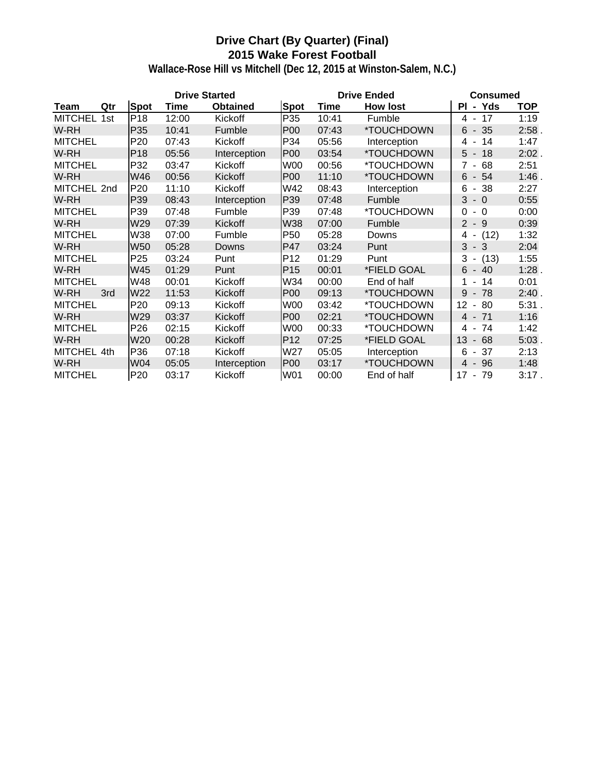# **Drive Chart (By Quarter) (Final) 2015 Wake Forest Football**

|                |     |                 | <b>Drive Started</b> |                 |                 |       | <b>Drive Ended</b> | <b>Consumed</b>                      |            |
|----------------|-----|-----------------|----------------------|-----------------|-----------------|-------|--------------------|--------------------------------------|------------|
| Team           | Qtr | <b>Spot</b>     | Time                 | <b>Obtained</b> | <b>Spot</b>     | Time  | <b>How lost</b>    | - Yds<br>PL                          | <b>TOP</b> |
| <b>MITCHEL</b> | 1st | P <sub>18</sub> | 12:00                | Kickoff         | P35             | 10:41 | Fumble             | 4 - 17                               | 1:19       |
| W-RH           |     | P <sub>35</sub> | 10:41                | Fumble          | P <sub>00</sub> | 07:43 | *TOUCHDOWN         | 35<br>$6 -$                          | 2:58.      |
| <b>MITCHEL</b> |     | P <sub>20</sub> | 07:43                | Kickoff         | P34             | 05:56 | Interception       | 14<br>4 -                            | 1:47       |
| W-RH           |     | P <sub>18</sub> | 05:56                | Interception    | <b>P00</b>      | 03:54 | *TOUCHDOWN         | $5 -$<br>18                          | $2:02$ .   |
| <b>MITCHEL</b> |     | P32             | 03:47                | Kickoff         | W00             | 00:56 | *TOUCHDOWN         | $7 -$<br>68                          | 2:51       |
| W-RH           |     | W46             | 00:56                | Kickoff         | P <sub>00</sub> | 11:10 | *TOUCHDOWN         | $6 - 54$                             | 1:46.      |
| MITCHEL 2nd    |     | P20             | 11:10                | Kickoff         | W42             | 08:43 | Interception       | 6<br>-38<br>$\blacksquare$           | 2:27       |
| W-RH           |     | P39             | 08:43                | Interception    | P39             | 07:48 | Fumble             | 3<br>$-0$                            | 0:55       |
| <b>MITCHEL</b> |     | P39             | 07:48                | Fumble          | P39             | 07:48 | *TOUCHDOWN         | 0<br>$-0$                            | 0:00       |
| W-RH           |     | W29             | 07:39                | Kickoff         | W38             | 07:00 | Fumble             | $2 - 9$                              | 0:39       |
| <b>MITCHEL</b> |     | W38             | 07:00                | Fumble          | P <sub>50</sub> | 05:28 | Downs              | (12)<br>4 -                          | 1:32       |
| W-RH           |     | <b>W50</b>      | 05:28                | Downs           | <b>P47</b>      | 03:24 | Punt               | $3 - 3$                              | 2:04       |
| <b>MITCHEL</b> |     | P <sub>25</sub> | 03:24                | Punt            | P <sub>12</sub> | 01:29 | Punt               | $3 -$<br>(13)                        | 1:55       |
| W-RH           |     | W45             | 01:29                | Punt            | P <sub>15</sub> | 00:01 | *FIELD GOAL        | $6 -$<br>40                          | 1:28.      |
| <b>MITCHEL</b> |     | W48             | 00:01                | Kickoff         | W34             | 00:00 | End of half        | 14<br>1 -                            | 0:01       |
| W-RH           | 3rd | W22             | 11:53                | Kickoff         | P <sub>00</sub> | 09:13 | *TOUCHDOWN         | 78<br>9<br>$\overline{\phantom{a}}$  | 2:40.      |
| <b>MITCHEL</b> |     | P <sub>20</sub> | 09:13                | Kickoff         | W00             | 03:42 | *TOUCHDOWN         | 12<br>80<br>$\overline{\phantom{a}}$ | 5:31.      |
| W-RH           |     | W29             | 03:37                | Kickoff         | <b>P00</b>      | 02:21 | *TOUCHDOWN         | 4 - 71                               | 1:16       |
| <b>MITCHEL</b> |     | P <sub>26</sub> | 02:15                | Kickoff         | W00             | 00:33 | *TOUCHDOWN         | 74<br>4 -                            | 1:42       |
| W-RH           |     | W <sub>20</sub> | 00:28                | Kickoff         | P <sub>12</sub> | 07:25 | *FIELD GOAL        | 13<br>68<br>$\sim$                   | $5:03$ .   |
| MITCHEL 4th    |     | P36             | 07:18                | Kickoff         | W27             | 05:05 | Interception       | 6<br>- 37                            | 2:13       |
| W-RH           |     | W04             | 05:05                | Interception    | P <sub>00</sub> | 03:17 | *TOUCHDOWN         | 96<br>4 -                            | 1:48       |
| <b>MITCHEL</b> |     | P <sub>20</sub> | 03:17                | Kickoff         | W01             | 00:00 | End of half        | $17 - 79$                            | 3:17.      |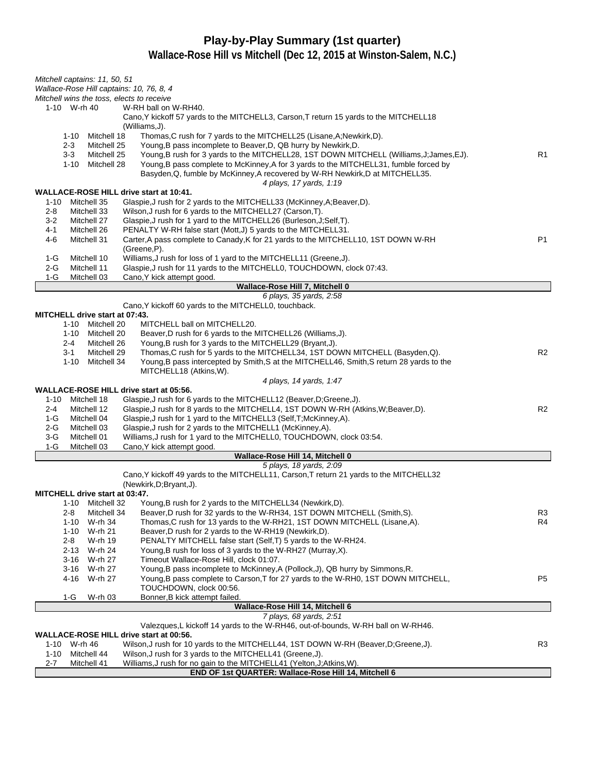# **Play-by-Play Summary (1st quarter)**

| Mitchell captains: 11, 50, 51         |                            |                                                                                                                                         |                |
|---------------------------------------|----------------------------|-----------------------------------------------------------------------------------------------------------------------------------------|----------------|
|                                       |                            | Wallace-Rose Hill captains: 10, 76, 8, 4<br>Mitchell wins the toss, elects to receive                                                   |                |
| 1-10 W-rh 40                          |                            | W-RH ball on W-RH40.                                                                                                                    |                |
|                                       |                            | Cano, Y kickoff 57 yards to the MITCHELL3, Carson, T return 15 yards to the MITCHELL18                                                  |                |
|                                       |                            | (Williams, J).                                                                                                                          |                |
| 1-10<br>$2 - 3$                       | Mitchell 18<br>Mitchell 25 | Thomas, C rush for 7 yards to the MITCHELL25 (Lisane, A; Newkirk, D).<br>Young, B pass incomplete to Beaver, D, QB hurry by Newkirk, D. |                |
| $3 - 3$                               | Mitchell 25                | Young, B rush for 3 yards to the MITCHELL28, 1ST DOWN MITCHELL (Williams, J; James, EJ).                                                | R1             |
|                                       | 1-10 Mitchell 28           | Young, B pass complete to McKinney, A for 3 yards to the MITCHELL31, fumble forced by                                                   |                |
|                                       |                            | Basyden, Q, fumble by McKinney, A recovered by W-RH Newkirk, D at MITCHELL35.                                                           |                |
|                                       |                            | 4 plays, 17 yards, 1:19                                                                                                                 |                |
| 1-10                                  | Mitchell 35                | WALLACE-ROSE HILL drive start at 10:41.<br>Glaspie, J rush for 2 yards to the MITCHELL33 (McKinney, A; Beaver, D).                      |                |
| $2 - 8$                               | Mitchell 33                | Wilson, J rush for 6 yards to the MITCHELL27 (Carson, T).                                                                               |                |
| $3-2$                                 | Mitchell 27                | Glaspie, J rush for 1 yard to the MITCHELL26 (Burleson, J; Self, T).                                                                    |                |
| 4-1                                   | Mitchell 26                | PENALTY W-RH false start (Mott,J) 5 yards to the MITCHELL31.                                                                            |                |
| 4-6                                   | Mitchell 31                | Carter, A pass complete to Canady, K for 21 yards to the MITCHELL10, 1ST DOWN W-RH                                                      | P <sub>1</sub> |
| 1-G                                   | Mitchell 10                | (Greene, P).<br>Williams, J rush for loss of 1 yard to the MITCHELL11 (Greene, J).                                                      |                |
| $2-G$                                 | Mitchell 11                | Glaspie, J rush for 11 yards to the MITCHELL0, TOUCHDOWN, clock 07:43.                                                                  |                |
| $1-G$                                 | Mitchell 03                | Cano, Y kick attempt good.                                                                                                              |                |
|                                       |                            | Wallace-Rose Hill 7, Mitchell 0                                                                                                         |                |
|                                       |                            | 6 plays, 35 yards, 2:58                                                                                                                 |                |
| <b>MITCHELL drive start at 07:43.</b> |                            | Cano, Y kickoff 60 yards to the MITCHELL0, touchback.                                                                                   |                |
| 1-10                                  | Mitchell 20                | MITCHELL ball on MITCHELL20.                                                                                                            |                |
|                                       | 1-10 Mitchell 20           | Beaver, D rush for 6 yards to the MITCHELL26 (Williams, J).                                                                             |                |
| 2-4                                   | Mitchell 26                | Young, B rush for 3 yards to the MITCHELL29 (Bryant, J).                                                                                |                |
| $3 - 1$                               | Mitchell 29                | Thomas, C rush for 5 yards to the MITCHELL34, 1ST DOWN MITCHELL (Basyden, Q).                                                           | R <sub>2</sub> |
|                                       | 1-10 Mitchell 34           | Young, B pass intercepted by Smith, S at the MITCHELL46, Smith, S return 28 yards to the<br>MITCHELL18 (Atkins, W).                     |                |
|                                       |                            | 4 plays, 14 yards, 1:47                                                                                                                 |                |
|                                       |                            | <b>WALLACE-ROSE HILL drive start at 05:56.</b>                                                                                          |                |
| 1-10                                  | Mitchell 18                | Glaspie, J rush for 6 yards to the MITCHELL12 (Beaver, D; Greene, J).                                                                   |                |
| 2-4                                   | Mitchell 12                | Glaspie, J rush for 8 yards to the MITCHELL4, 1ST DOWN W-RH (Atkins, W; Beaver, D).                                                     | R <sub>2</sub> |
| 1-G                                   | Mitchell 04                | Glaspie, J rush for 1 yard to the MITCHELL3 (Self, T; McKinney, A).                                                                     |                |
| 2-G<br>$3-G$                          | Mitchell 03<br>Mitchell 01 | Glaspie, J rush for 2 yards to the MITCHELL1 (McKinney, A).<br>Williams, J rush for 1 yard to the MITCHELL0, TOUCHDOWN, clock 03:54.    |                |
| $1-G$                                 | Mitchell 03                | Cano, Y kick attempt good.                                                                                                              |                |
|                                       |                            | Wallace-Rose Hill 14, Mitchell 0                                                                                                        |                |
|                                       |                            | 5 plays, 18 yards, 2:09                                                                                                                 |                |
|                                       |                            | Cano, Y kickoff 49 yards to the MITCHELL11, Carson, T return 21 yards to the MITCHELL32                                                 |                |
| <b>MITCHELL drive start at 03:47.</b> |                            | (Newkirk, D; Bryant, J).                                                                                                                |                |
|                                       | 1-10 Mitchell 32           | Young, B rush for 2 yards to the MITCHELL34 (Newkirk, D).                                                                               |                |
| $2 - 8$                               | Mitchell 34                | Beaver, D rush for 32 yards to the W-RH34, 1ST DOWN MITCHELL (Smith, S).                                                                | R <sub>3</sub> |
| 1-10                                  | W-rh 34                    | Thomas, C rush for 13 yards to the W-RH21, 1ST DOWN MITCHELL (Lisane, A).                                                               | R4             |
| 1-10                                  | W-rh 21                    | Beaver, D rush for 2 yards to the W-RH19 (Newkirk, D).                                                                                  |                |
| 2-8                                   | W-rh 19                    | PENALTY MITCHELL false start (Self, T) 5 yards to the W-RH24.                                                                           |                |
| $3 - 16$                              | 2-13 W-rh 24<br>W-rh 27    | Young, B rush for loss of 3 yards to the W-RH27 (Murray, X).<br>Timeout Wallace-Rose Hill, clock 01:07.                                 |                |
| 3-16                                  | W-rh 27                    | Young, B pass incomplete to McKinney, A (Pollock, J), QB hurry by Simmons, R.                                                           |                |
|                                       | 4-16 W-rh 27               | Young, B pass complete to Carson, T for 27 yards to the W-RH0, 1ST DOWN MITCHELL,                                                       | P5             |
|                                       |                            | TOUCHDOWN, clock 00:56.                                                                                                                 |                |
| 1-G                                   | W-rh 03                    | Bonner, B kick attempt failed.                                                                                                          |                |
|                                       |                            | Wallace-Rose Hill 14, Mitchell 6<br>7 plays, 68 yards, 2:51                                                                             |                |
|                                       |                            | Valezques, L kickoff 14 yards to the W-RH46, out-of-bounds, W-RH ball on W-RH46.                                                        |                |
|                                       |                            | WALLACE-ROSE HILL drive start at 00:56.                                                                                                 |                |
| 1-10 W-rh 46                          |                            | Wilson, J rush for 10 yards to the MITCHELL44, 1ST DOWN W-RH (Beaver, D; Greene, J).                                                    | R <sub>3</sub> |
| 1-10                                  | Mitchell 44                | Wilson, J rush for 3 yards to the MITCHELL41 (Greene, J).                                                                               |                |
| 2-7                                   | Mitchell 41                | Williams, J rush for no gain to the MITCHELL41 (Yelton, J; Atkins, W).<br>END OF 1st QUARTER: Wallace-Rose Hill 14, Mitchell 6          |                |
|                                       |                            |                                                                                                                                         |                |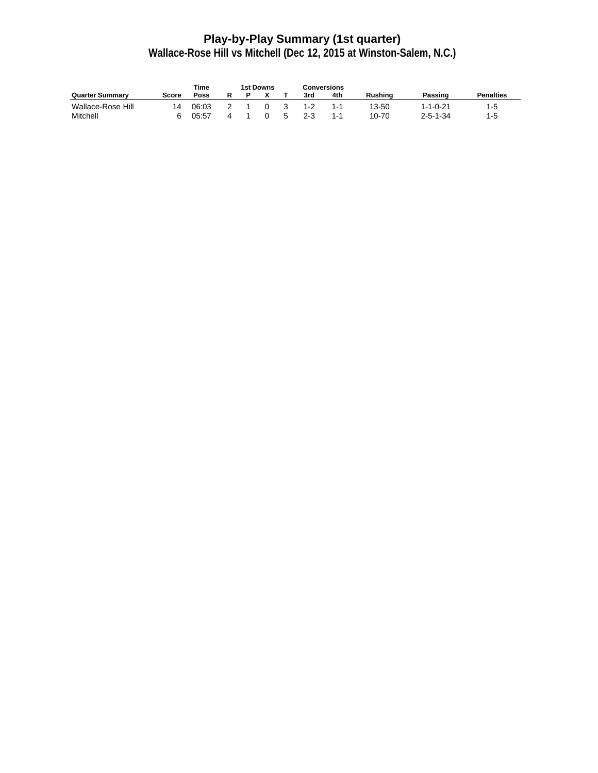# **Play-by-Play Summary (1st quarter)**

|                        |       | Time  |  | 1st Downs |         | Conversions |                |                  |                  |
|------------------------|-------|-------|--|-----------|---------|-------------|----------------|------------------|------------------|
| <b>Quarter Summary</b> | Score | Poss  |  |           | 3rd     | 4th         | <b>Rushing</b> | Passing          | <b>Penalties</b> |
| Wallace-Rose Hill      | 14    | 06:03 |  |           | 1-2     | 1-1         | 13-50          | $1 - 1 - 0 - 21$ | 1-5              |
| Mitchell               |       | 05:57 |  |           | $2 - 3$ | 1-1         | $10 - 70$      | $2 - 5 - 1 - 34$ | 1-5              |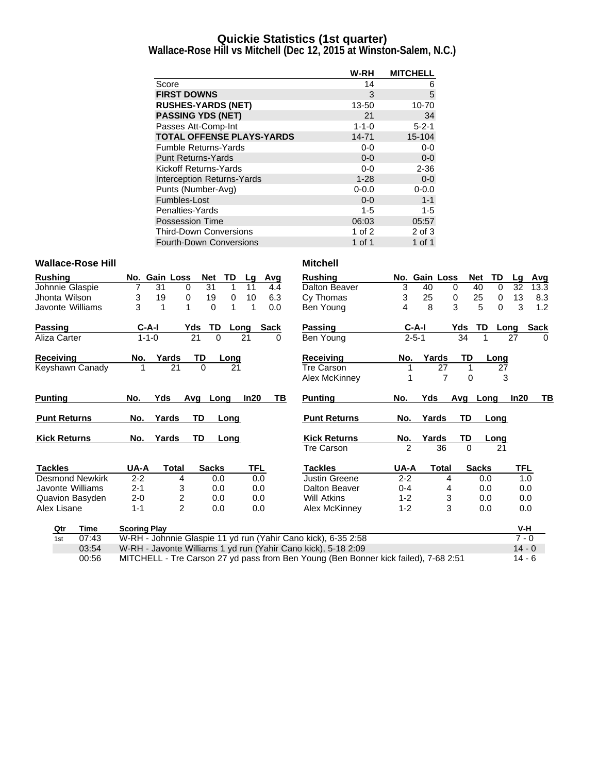# **Quickie Statistics (1st quarter)**

**Wallace-Rose Hill vs Mitchell (Dec 12, 2015 at Winston-Salem, N.C.)**

|                                   | W-RH        | <b>MITCHELL</b> |
|-----------------------------------|-------------|-----------------|
| Score                             | 14          | 6               |
| <b>FIRST DOWNS</b>                | 3           | 5               |
| <b>RUSHES-YARDS (NET)</b>         | 13-50       | 10-70           |
| <b>PASSING YDS (NET)</b>          | 21          | 34              |
| Passes Att-Comp-Int               | $1 - 1 - 0$ | $5 - 2 - 1$     |
| <b>TOTAL OFFENSE PLAYS-YARDS</b>  | 14-71       | $15 - 104$      |
| <b>Fumble Returns-Yards</b>       | $0 - 0$     | $0-0$           |
| <b>Punt Returns-Yards</b>         | $0 - 0$     | $0-0$           |
| Kickoff Returns-Yards             | $0-0$       | $2 - 36$        |
| <b>Interception Returns-Yards</b> | $1 - 28$    | $0-0$           |
| Punts (Number-Avg)                | $0 - 0.0$   | $0 - 0.0$       |
| Fumbles-Lost                      | $0 - 0$     | $1 - 1$         |
| Penalties-Yards                   | $1 - 5$     | $1 - 5$         |
| <b>Possession Time</b>            | 06:03       | 05:57           |
| <b>Third-Down Conversions</b>     | 1 of $2$    | 2 of 3          |
| <b>Fourth-Down Conversions</b>    | 1 of 1      | 1 of 1          |

### **Wallace-Rose Hill Mitchell**

| <b>Rushing</b>         | No. Gain Loss       |                         | Net             | TD<br>Lq |            | Avg         | <b>Rushing</b>                                                                      |         | No. Gain Loss |              |          | <b>Net</b><br>TD | Lq      | <b>Avg</b>  |
|------------------------|---------------------|-------------------------|-----------------|----------|------------|-------------|-------------------------------------------------------------------------------------|---------|---------------|--------------|----------|------------------|---------|-------------|
| Johnnie Glaspie        | 31                  | 0                       | $\overline{31}$ | 1<br>11  |            | 4.4         | Dalton Beaver                                                                       | 3       | 40            |              | 0        | 40<br>$\Omega$   | 32      | 13.3        |
| Jhonta Wilson          | 3                   | 19<br>0                 | 19              | 0        | 10         | 6.3         | Cy Thomas                                                                           | 3       | 25            |              | 0        | 25<br>0          | 13      | 8.3         |
| Javonte Williams       | 3                   | $\mathbf{1}$<br>1       | $\Omega$        | 1        | 1          | 0.0         | Ben Young                                                                           | 4       | 8             |              | 3        | 5<br>$\Omega$    | 3       | 1.2         |
| Passing                | $C-A-I$             | Yds                     | TD              | Long     |            | <b>Sack</b> | <b>Passing</b>                                                                      |         | $C-A-I$       |              | Yds      | TD               | Long    | <b>Sack</b> |
| Aliza Carter           | $1 - 1 - 0$         |                         | 21<br>$\Omega$  | 21       |            | 0           | Ben Young                                                                           |         | $2 - 5 - 1$   |              | 34       |                  | 27      | $\Omega$    |
| Receivina              | No.                 | Yards                   | TD              | Long     |            |             | <b>Receiving</b>                                                                    | No.     | Yards         |              | TD       | Long             |         |             |
| Keyshawn Canady        |                     | 21                      | $\overline{0}$  | 21       |            |             | Tre Carson                                                                          |         |               | 27           |          |                  | 27      |             |
|                        |                     |                         |                 |          |            |             | Alex McKinney                                                                       |         |               | 7            | $\Omega$ |                  | 3       |             |
| <b>Punting</b>         | No.                 | Yds<br>Avq              | Long            |          | ln20       | ΤВ          | <b>Punting</b>                                                                      | No.     | Yds           |              | Avg      | Long             | In20    | TВ          |
| <b>Punt Returns</b>    | No.                 | Yards                   | TD              | Long     |            |             | <b>Punt Returns</b>                                                                 | No.     | Yards         |              | TD       | Long             |         |             |
| <b>Kick Returns</b>    | No.                 | Yards                   | <b>TD</b>       | Long     |            |             | <b>Kick Returns</b>                                                                 | No.     | Yards         |              | TD       | Long             |         |             |
|                        |                     |                         |                 |          |            |             | <b>Tre Carson</b>                                                                   | 2       |               | 36           | $\Omega$ | 21               |         |             |
| <b>Tackles</b>         | UA-A                | <b>Total</b>            | <b>Sacks</b>    |          | <b>TFL</b> |             | <b>Tackles</b>                                                                      | UA-A    |               | <b>Total</b> |          | <b>Sacks</b>     | TFL     |             |
| <b>Desmond Newkirk</b> | $2 - 2$             | 4                       | 0.0             |          | 0.0        |             | Justin Greene                                                                       | $2 - 2$ |               | 4            |          | 0.0              |         | 1.0         |
| Javonte Williams       | $2 - 1$             | 3                       | 0.0             |          | 0.0        |             | <b>Dalton Beaver</b>                                                                | $0 - 4$ |               | 4            |          | 0.0              |         | 0.0         |
| <b>Quavion Basyden</b> | $2 - 0$             | $\overline{\mathbf{c}}$ | 0.0             |          | 0.0        |             | <b>Will Atkins</b>                                                                  | $1 - 2$ |               | 3            |          | 0.0              |         | 0.0         |
| Alex Lisane            | $1 - 1$             | $\overline{2}$          | 0.0             |          | 0.0        |             | Alex McKinney                                                                       | $1 - 2$ |               | 3            |          | 0.0              |         | 0.0         |
| Qtr<br>Time            | <b>Scoring Play</b> |                         |                 |          |            |             |                                                                                     |         |               |              |          |                  |         | V-H         |
| 07:43<br>1st           |                     |                         |                 |          |            |             | W-RH - Johnnie Glaspie 11 yd run (Yahir Cano kick), 6-35 2:58                       |         |               |              |          |                  | $7 - 0$ |             |
| 03:54                  |                     |                         |                 |          |            |             | W-RH - Javonte Williams 1 yd run (Yahir Cano kick), 5-18 2:09                       |         |               |              |          |                  |         | $14 - 0$    |
| 00:56                  |                     |                         |                 |          |            |             | MITCHELL - Tre Carson 27 yd pass from Ben Young (Ben Bonner kick failed), 7-68 2:51 |         |               |              |          |                  |         | $14 - 6$    |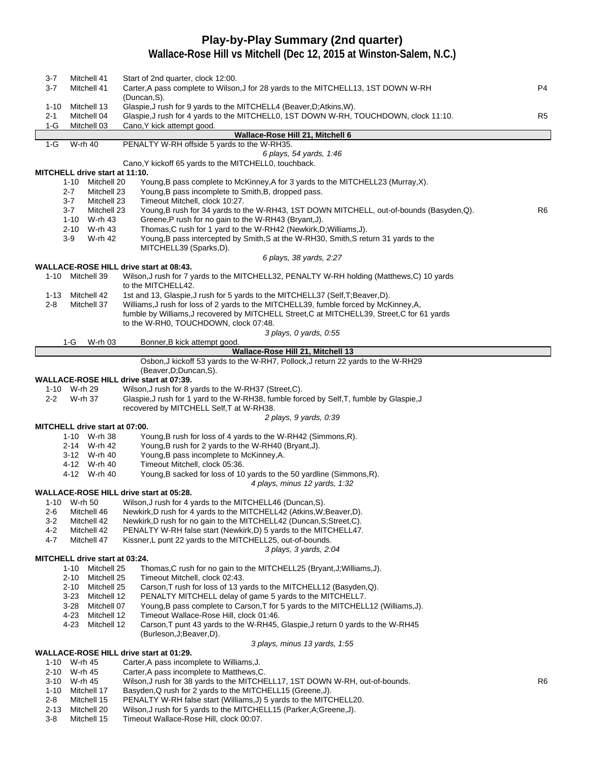# **Play-by-Play Summary (2nd quarter)**

| 3-7<br>$3 - 7$  | Mitchell 41<br>Mitchell 41                       | Start of 2nd quarter, clock 12:00.<br>Carter, A pass complete to Wilson, J for 28 yards to the MITCHELL13, 1ST DOWN W-RH<br>(Duncan, S).                                             | P4             |
|-----------------|--------------------------------------------------|--------------------------------------------------------------------------------------------------------------------------------------------------------------------------------------|----------------|
| 1-10<br>$2 - 1$ | Mitchell 13<br>Mitchell 04                       | Glaspie, J rush for 9 yards to the MITCHELL4 (Beaver, D; Atkins, W).<br>Glaspie, J rush for 4 yards to the MITCHELL0, 1ST DOWN W-RH, TOUCHDOWN, clock 11:10.                         | R <sub>5</sub> |
| $1-G$           | Mitchell 03                                      | Cano, Y kick attempt good.                                                                                                                                                           |                |
| $1-G$           | W-rh 40                                          | Wallace-Rose Hill 21, Mitchell 6<br>PENALTY W-RH offside 5 yards to the W-RH35.                                                                                                      |                |
|                 |                                                  | 6 plays, 54 yards, 1:46                                                                                                                                                              |                |
|                 |                                                  | Cano, Y kickoff 65 yards to the MITCHELL0, touchback.                                                                                                                                |                |
|                 | MITCHELL drive start at 11:10.                   |                                                                                                                                                                                      |                |
|                 | 1-10 Mitchell 20                                 | Young, B pass complete to McKinney, A for 3 yards to the MITCHELL23 (Murray, X).                                                                                                     |                |
|                 | $2 - 7$<br>Mitchell 23                           | Young, B pass incomplete to Smith, B, dropped pass.                                                                                                                                  |                |
|                 | $3 - 7$<br>Mitchell 23<br>$3 - 7$<br>Mitchell 23 | Timeout Mitchell, clock 10:27.<br>Young, B rush for 34 yards to the W-RH43, 1ST DOWN MITCHELL, out-of-bounds (Basyden, Q).                                                           | R <sub>6</sub> |
|                 | 1-10 W-rh 43                                     | Greene, P rush for no gain to the W-RH43 (Bryant, J).                                                                                                                                |                |
|                 | 2-10 W-rh 43                                     | Thomas, C rush for 1 yard to the W-RH42 (Newkirk, D; Williams, J).                                                                                                                   |                |
|                 | W-rh 42<br>3-9                                   | Young, B pass intercepted by Smith, S at the W-RH30, Smith, S return 31 yards to the                                                                                                 |                |
|                 |                                                  | MITCHELL39 (Sparks,D).                                                                                                                                                               |                |
|                 |                                                  | 6 plays, 38 yards, 2:27                                                                                                                                                              |                |
|                 |                                                  | WALLACE-ROSE HILL drive start at 08:43.                                                                                                                                              |                |
|                 | 1-10 Mitchell 39                                 | Wilson, J rush for 7 yards to the MITCHELL32, PENALTY W-RH holding (Matthews, C) 10 yards                                                                                            |                |
|                 |                                                  | to the MITCHELL42.                                                                                                                                                                   |                |
| 1-13            | Mitchell 42                                      | 1st and 13, Glaspie, J rush for 5 yards to the MITCHELL37 (Self, T; Beaver, D).                                                                                                      |                |
| $2 - 8$         | Mitchell 37                                      | Williams, J rush for loss of 2 yards to the MITCHELL39, fumble forced by McKinney, A,<br>fumble by Williams, J recovered by MITCHELL Street, C at MITCHELL39, Street, C for 61 yards |                |
|                 |                                                  | to the W-RH0, TOUCHDOWN, clock 07:48.                                                                                                                                                |                |
|                 |                                                  | 3 plays, 0 yards, 0:55                                                                                                                                                               |                |
|                 | 1-G<br>W-rh 03                                   | Bonner, B kick attempt good.                                                                                                                                                         |                |
|                 |                                                  | Wallace-Rose Hill 21, Mitchell 13                                                                                                                                                    |                |
|                 |                                                  | Osbon, J kickoff 53 yards to the W-RH7, Pollock, J return 22 yards to the W-RH29                                                                                                     |                |
|                 |                                                  | (Beaver, D; Duncan, S).                                                                                                                                                              |                |
|                 |                                                  | WALLACE-ROSE HILL drive start at 07:39.                                                                                                                                              |                |
|                 | 1-10 W-rh 29<br>W-rh 37                          | Wilson, J rush for 8 yards to the W-RH37 (Street, C).<br>Glaspie, J rush for 1 yard to the W-RH38, fumble forced by Self, T, fumble by Glaspie, J                                    |                |
| $2 - 2$         |                                                  | recovered by MITCHELL Self, T at W-RH38.                                                                                                                                             |                |
|                 |                                                  | 2 plays, 9 yards, 0:39                                                                                                                                                               |                |
|                 | MITCHELL drive start at 07:00.                   |                                                                                                                                                                                      |                |
|                 | 1-10 W-rh 38                                     | Young, B rush for loss of 4 yards to the W-RH42 (Simmons, R).                                                                                                                        |                |
|                 | 2-14 W-rh 42                                     | Young, B rush for 2 yards to the W-RH40 (Bryant, J).                                                                                                                                 |                |
|                 | 3-12 W-rh 40                                     | Young, B pass incomplete to McKinney, A.                                                                                                                                             |                |
|                 | 4-12 W-rh 40                                     | Timeout Mitchell, clock 05:36.                                                                                                                                                       |                |
|                 | 4-12 W-rh 40                                     | Young, B sacked for loss of 10 yards to the 50 yardline (Simmons, R).                                                                                                                |                |
|                 |                                                  | 4 plays, minus 12 yards, 1:32<br>WALLACE-ROSE HILL drive start at 05:28.                                                                                                             |                |
|                 | 1-10 W-rh 50                                     | Wilson, J rush for 4 yards to the MITCHELL46 (Duncan, S).                                                                                                                            |                |
| $2 - 6$         | Mitchell 46                                      | Newkirk, D rush for 4 yards to the MITCHELL42 (Atkins, W; Beaver, D).                                                                                                                |                |
| $3-2$           | Mitchell 42                                      | Newkirk, D rush for no gain to the MITCHELL42 (Duncan, S; Street, C).                                                                                                                |                |
| $4 - 2$         | Mitchell 42                                      | PENALTY W-RH false start (Newkirk, D) 5 yards to the MITCHELL47.                                                                                                                     |                |
| 4-7             | Mitchell 47                                      | Kissner, L punt 22 yards to the MITCHELL25, out-of-bounds.                                                                                                                           |                |
|                 |                                                  | 3 plays, 3 yards, 2:04                                                                                                                                                               |                |
|                 | MITCHELL drive start at 03:24.                   |                                                                                                                                                                                      |                |
|                 | 1-10 Mitchell 25<br>Mitchell 25<br>$2 - 10$      | Thomas, C rush for no gain to the MITCHELL25 (Bryant, J; Williams, J).<br>Timeout Mitchell, clock 02:43.                                                                             |                |
|                 | $2 - 10$<br>Mitchell 25                          | Carson, T rush for loss of 13 yards to the MITCHELL12 (Basyden, Q).                                                                                                                  |                |
|                 | 3-23<br>Mitchell 12                              | PENALTY MITCHELL delay of game 5 yards to the MITCHELL7.                                                                                                                             |                |
|                 | 3-28<br>Mitchell 07                              | Young, B pass complete to Carson, T for 5 yards to the MITCHELL12 (Williams, J).                                                                                                     |                |
|                 | 4-23<br>Mitchell 12                              | Timeout Wallace-Rose Hill, clock 01:46.                                                                                                                                              |                |
|                 | 4-23<br>Mitchell 12                              | Carson, T punt 43 yards to the W-RH45, Glaspie, J return 0 yards to the W-RH45                                                                                                       |                |
|                 |                                                  | (Burleson, J; Beaver, D).                                                                                                                                                            |                |
|                 |                                                  | 3 plays, minus 13 yards, 1:55                                                                                                                                                        |                |
|                 | 1-10 W-rh 45                                     | WALLACE-ROSE HILL drive start at 01:29.<br>Carter, A pass incomplete to Williams, J.                                                                                                 |                |
|                 | 2-10 W-rh 45                                     | Carter, A pass incomplete to Matthews, C.                                                                                                                                            |                |
| 3-10            | W-rh 45                                          | Wilson, J rush for 38 yards to the MITCHELL17, 1ST DOWN W-RH, out-of-bounds.                                                                                                         | R6             |
| 1-10            | Mitchell 17                                      | Basyden, Q rush for 2 yards to the MITCHELL15 (Greene, J).                                                                                                                           |                |
| 2-8             | Mitchell 15                                      | PENALTY W-RH false start (Williams, J) 5 yards to the MITCHELL20.                                                                                                                    |                |
| $2 - 13$        | Mitchell 20                                      | Wilson, J rush for 5 yards to the MITCHELL15 (Parker, A; Greene, J).                                                                                                                 |                |
| $3-8$           | Mitchell 15                                      | Timeout Wallace-Rose Hill, clock 00:07.                                                                                                                                              |                |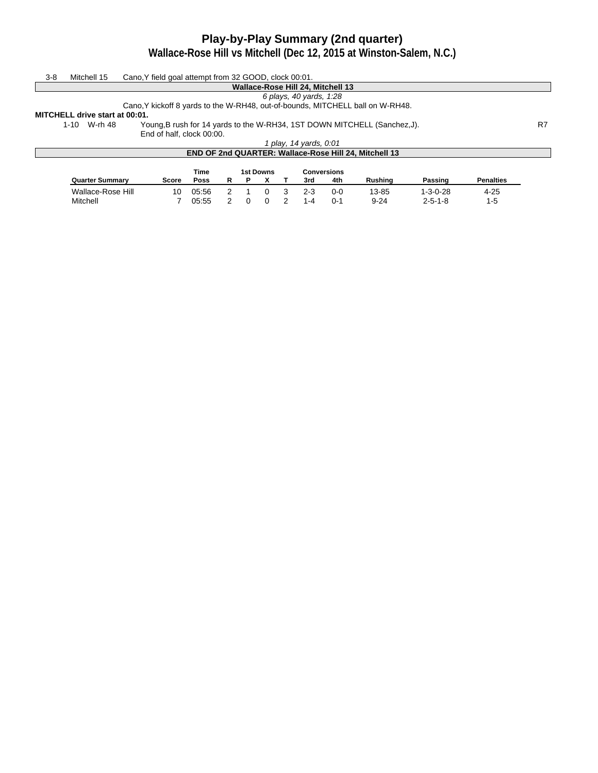# **Play-by-Play Summary (2nd quarter)**

**Wallace-Rose Hill vs Mitchell (Dec 12, 2015 at Winston-Salem, N.C.)**

| $3 - 8$ | Mitchell 15                    | Cano, Y field goal attempt from 32 GOOD, clock 00:01.                          |             |   |   |                  |                         |                                   |                                                                           |         |                  |    |
|---------|--------------------------------|--------------------------------------------------------------------------------|-------------|---|---|------------------|-------------------------|-----------------------------------|---------------------------------------------------------------------------|---------|------------------|----|
|         |                                |                                                                                |             |   |   |                  |                         | Wallace-Rose Hill 24, Mitchell 13 |                                                                           |         |                  |    |
|         |                                |                                                                                |             |   |   |                  | 6 plays, 40 yards, 1:28 |                                   |                                                                           |         |                  |    |
|         |                                | Cano, Y kickoff 8 yards to the W-RH48, out-of-bounds, MITCHELL ball on W-RH48. |             |   |   |                  |                         |                                   |                                                                           |         |                  |    |
|         | MITCHELL drive start at 00:01. |                                                                                |             |   |   |                  |                         |                                   |                                                                           |         |                  |    |
|         | 1-10 W-rh 48                   |                                                                                |             |   |   |                  |                         |                                   | Young, B rush for 14 yards to the W-RH34, 1ST DOWN MITCHELL (Sanchez, J). |         |                  | R7 |
|         |                                | End of half, clock 00:00.                                                      |             |   |   |                  |                         |                                   |                                                                           |         |                  |    |
|         |                                |                                                                                |             |   |   |                  | 1 play, 14 yards, 0:01  |                                   |                                                                           |         |                  |    |
|         |                                |                                                                                |             |   |   |                  |                         |                                   | END OF 2nd QUARTER: Wallace-Rose Hill 24, Mitchell 13                     |         |                  |    |
|         |                                |                                                                                |             |   |   |                  |                         |                                   |                                                                           |         |                  |    |
|         |                                |                                                                                | Time        |   |   | <b>1st Downs</b> |                         | <b>Conversions</b>                |                                                                           |         |                  |    |
|         | <b>Quarter Summary</b>         | Score                                                                          | <b>Poss</b> | R | Р |                  | 3rd                     | 4th                               | Rushina                                                                   | Passing | <b>Penalties</b> |    |

Wallace-Rose Hill 10 05:56 2 1 0 3 2-3 0-0 13-85 1-3-0-28 4-25 Mitchell 7 05:55 2 0 0 2 1-4 0-1 9-24 2-5-1-8 1-5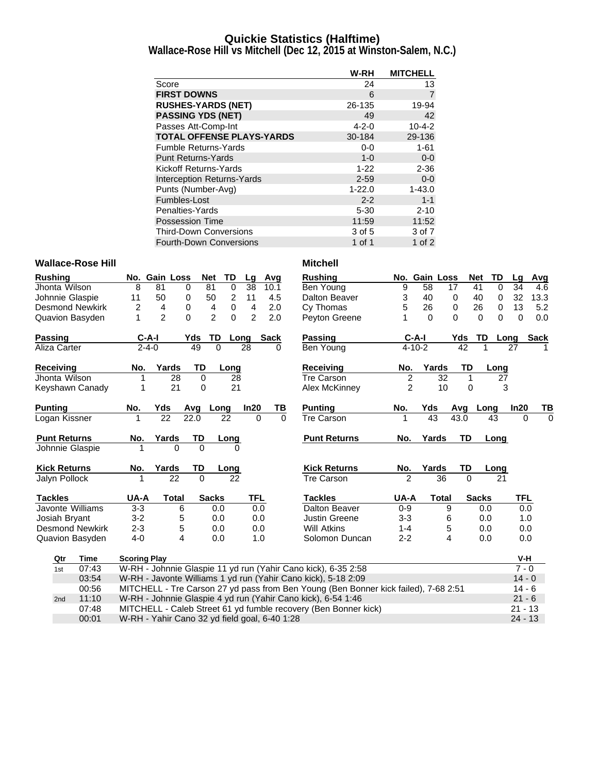### **Quickie Statistics (Halftime)**

**Wallace-Rose Hill vs Mitchell (Dec 12, 2015 at Winston-Salem, N.C.)**

|                                   | W-RH        | <b>MITCHELL</b> |
|-----------------------------------|-------------|-----------------|
| Score                             | 24          | 13              |
| <b>FIRST DOWNS</b>                | 6           | 7               |
| <b>RUSHES-YARDS (NET)</b>         | 26-135      | 19-94           |
| <b>PASSING YDS (NET)</b>          | 49          | 42              |
| Passes Att-Comp-Int               | $4 - 2 - 0$ | $10 - 4 - 2$    |
| <b>TOTAL OFFENSE PLAYS-YARDS</b>  | 30-184      | 29-136          |
| <b>Fumble Returns-Yards</b>       | $0-0$       | $1 - 61$        |
| <b>Punt Returns-Yards</b>         | $1 - 0$     | $0-0$           |
| Kickoff Returns-Yards             | $1 - 22$    | $2 - 36$        |
| <b>Interception Returns-Yards</b> | $2 - 59$    | $0-0$           |
| Punts (Number-Avg)                | $1 - 22.0$  | $1 - 43.0$      |
| Fumbles-Lost                      | $2 - 2$     | $1 - 1$         |
| Penalties-Yards                   | $5 - 30$    | $2 - 10$        |
| <b>Possession Time</b>            | 11:59       | 11:52           |
| <b>Third-Down Conversions</b>     | 3 of 5      | 3 of 7          |
| Fourth-Down Conversions           | 1 of 1      | 1 of $2$        |

### Wallace-Rose Hill **Mitchell Mitchell**

| <b>Rushing</b>      |                         |                     | No. Gain Loss                                 | <b>Net</b>     | TD          | Lg             | Avg         | <b>Rushing</b>                                                                      |                | No. Gain Loss |              | <b>Net</b> | TD                   | Lg        | Avg         |
|---------------------|-------------------------|---------------------|-----------------------------------------------|----------------|-------------|----------------|-------------|-------------------------------------------------------------------------------------|----------------|---------------|--------------|------------|----------------------|-----------|-------------|
| Jhonta Wilson       |                         | 8                   | 81<br>0                                       | 81             | $\mathbf 0$ | 38             | 10.1        | Ben Young                                                                           | 9              | 58            | 17           | 41         | 0                    | 34        | 4.6         |
| Johnnie Glaspie     |                         | 11                  | 50<br>0                                       | 50             | 2           | 11             | 4.5         | Dalton Beaver                                                                       | 3              | 40            | 0            | 40         | 0                    | 32        | 13.3        |
|                     | Desmond Newkirk         | 2                   | 4<br>0                                        | 4              | $\pmb{0}$   | 4              | 2.0         | Cy Thomas                                                                           | 5              | 26            | 0            |            | 26<br>0              | 13        | 5.2         |
|                     | <b>Quavion Basyden</b>  | 1                   | $\overline{c}$<br>$\Omega$                    | $\overline{2}$ | 0           | $\overline{c}$ | 2.0         | Peyton Greene                                                                       |                | $\Omega$      | $\Omega$     |            | $\Omega$<br>$\Omega$ | 0         | 0.0         |
| <b>Passing</b>      |                         | $C-A-I$             |                                               | Yds            | TD<br>Long  |                | <b>Sack</b> | <b>Passing</b>                                                                      |                | $C-A-I$       |              | Yds        | TD<br>Long           |           | <b>Sack</b> |
| Aliza Carter        |                         | $2 - 4 - 0$         |                                               | 49             | $\Omega$    | 28             | $\Omega$    | Ben Young                                                                           |                | $4 - 10 - 2$  |              | 42         | 1                    | 27        |             |
| Receiving           |                         | No.                 | Yards                                         | TD             | Long        |                |             | <b>Receiving</b>                                                                    | No.            | Yards         |              | TD         | Long                 |           |             |
| Jhonta Wilson       |                         | 1                   | 28                                            | 0              | 28          |                |             | Tre Carson                                                                          | $\overline{2}$ |               | 32           | 1          | 27                   |           |             |
|                     | Keyshawn Canady         | 1                   | 21                                            | $\Omega$       | 21          |                |             | Alex McKinney                                                                       | $\overline{2}$ |               | 10           | $\Omega$   | 3                    |           |             |
| <b>Punting</b>      |                         | No.                 | Yds                                           | Avg            | Long        | In20           | TВ          | <b>Punting</b>                                                                      | No.            | Yds           |              | Avg        | Long                 | In20      | ΤВ          |
| Logan Kissner       |                         | 1                   | 22                                            | 22.0           | 22          | $\Omega$       | $\Omega$    | <b>Tre Carson</b>                                                                   | 1              | 43            |              | 43.0       | 43                   | $\Omega$  | $\Omega$    |
| <b>Punt Returns</b> |                         | No.                 | Yards                                         | TD             | Long        |                |             | <b>Punt Returns</b>                                                                 | No.            | Yards         |              | <b>TD</b>  | Long                 |           |             |
| Johnnie Glaspie     |                         |                     | 0                                             | $\Omega$       | 0           |                |             |                                                                                     |                |               |              |            |                      |           |             |
| <b>Kick Returns</b> |                         | No.                 | Yards                                         | TD             | Long        |                |             | <b>Kick Returns</b>                                                                 | No.            | Yards         |              | TD         | Long                 |           |             |
| Jalyn Pollock       |                         | 1                   | 22                                            | $\Omega$       | 22          |                |             | <b>Tre Carson</b>                                                                   | $\overline{2}$ |               | 36           | $\Omega$   | 21                   |           |             |
| <b>Tackles</b>      |                         | UA-A                | Total                                         | <b>Sacks</b>   |             | <b>TFL</b>     |             | <b>Tackles</b>                                                                      | UA-A           |               | <b>Total</b> |            | <b>Sacks</b>         | TFL       |             |
|                     | <b>Javonte Williams</b> | $3-3$               | 6                                             |                | 0.0         | 0.0            |             | Dalton Beaver                                                                       | $0 - 9$        |               | 9            |            | 0.0                  | 0.0       |             |
| Josiah Bryant       |                         | $3 - 2$             | 5                                             |                | 0.0         | 0.0            |             | <b>Justin Greene</b>                                                                | $3 - 3$        |               | 6            |            | 0.0                  | 1.0       |             |
|                     | <b>Desmond Newkirk</b>  | $2 - 3$             | 5                                             |                | 0.0         | 0.0            |             | <b>Will Atkins</b>                                                                  | $1 - 4$        |               | 5            |            | 0.0                  | 0.0       |             |
|                     | <b>Quavion Basyden</b>  | $4 - 0$             | 4                                             |                | 0.0         | 1.0            |             | Solomon Duncan                                                                      | $2 - 2$        |               | 4            |            | 0.0                  | 0.0       |             |
| Qtr                 | <b>Time</b>             | <b>Scoring Play</b> |                                               |                |             |                |             |                                                                                     |                |               |              |            |                      | V-H       |             |
| 1st                 | 07:43                   |                     |                                               |                |             |                |             | W-RH - Johnnie Glaspie 11 yd run (Yahir Cano kick), 6-35 2:58                       |                |               |              |            |                      | $7 - 0$   |             |
|                     | 03:54                   |                     |                                               |                |             |                |             | W-RH - Javonte Williams 1 yd run (Yahir Cano kick), 5-18 2:09                       |                |               |              |            |                      | $14 - 0$  |             |
|                     | 00:56                   |                     |                                               |                |             |                |             | MITCHELL - Tre Carson 27 yd pass from Ben Young (Ben Bonner kick failed), 7-68 2:51 |                |               |              |            |                      | $14 - 6$  |             |
| 2nd                 | 11:10                   |                     |                                               |                |             |                |             | W-RH - Johnnie Glaspie 4 yd run (Yahir Cano kick), 6-54 1:46                        |                |               |              |            |                      | $21 - 6$  |             |
|                     | 07:48                   |                     |                                               |                |             |                |             | MITCHELL - Caleb Street 61 yd fumble recovery (Ben Bonner kick)                     |                |               |              |            |                      | $21 - 13$ |             |
|                     | 00:01                   |                     | W-RH - Yahir Cano 32 yd field goal, 6-40 1:28 |                |             |                |             |                                                                                     |                |               |              |            |                      | $24 - 13$ |             |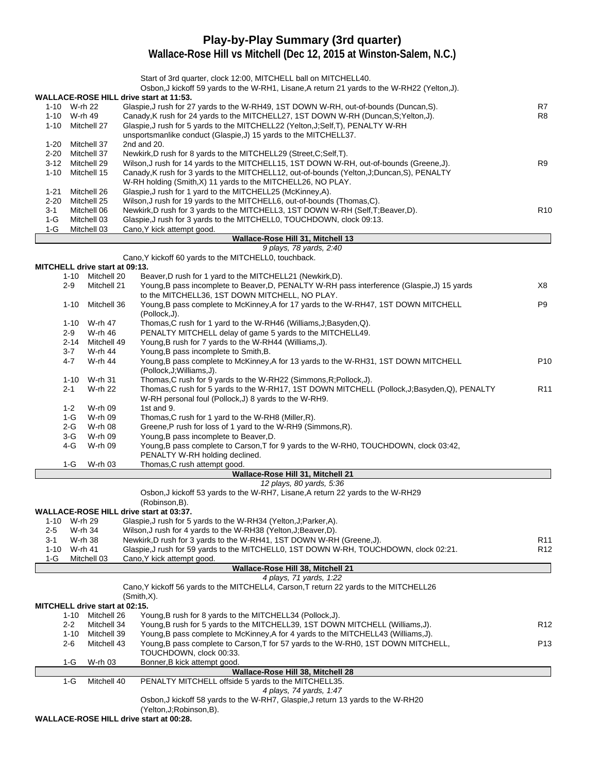# **Play-by-Play Summary (3rd quarter)**

**Wallace-Rose Hill vs Mitchell (Dec 12, 2015 at Winston-Salem, N.C.)**

|          |                   |                                       | Start of 3rd quarter, clock 12:00, MITCHELL ball on MITCHELL40.<br>Osbon, J kickoff 59 yards to the W-RH1, Lisane, A return 21 yards to the W-RH22 (Yelton, J). |                 |
|----------|-------------------|---------------------------------------|-----------------------------------------------------------------------------------------------------------------------------------------------------------------|-----------------|
|          |                   |                                       | WALLACE-ROSE HILL drive start at 11:53.                                                                                                                         |                 |
|          | 1-10 W-rh 22      |                                       | Glaspie, J rush for 27 yards to the W-RH49, 1ST DOWN W-RH, out-of-bounds (Duncan, S).                                                                           | R7              |
|          | 1-10 W-rh 49      |                                       | Canady, K rush for 24 yards to the MITCHELL27, 1ST DOWN W-RH (Duncan, S; Yelton, J).                                                                            | R <sub>8</sub>  |
|          |                   | 1-10 Mitchell 27                      | Glaspie, J rush for 5 yards to the MITCHELL22 (Yelton, J; Self, T), PENALTY W-RH                                                                                |                 |
|          |                   |                                       | unsportsmanlike conduct (Glaspie, J) 15 yards to the MITCHELL37.                                                                                                |                 |
| 1-20     |                   | Mitchell 37                           | 2nd and 20.                                                                                                                                                     |                 |
| $2 - 20$ |                   | Mitchell 37                           | Newkirk, D rush for 8 yards to the MITCHELL29 (Street, C; Self, T).                                                                                             |                 |
| 3-12     |                   | Mitchell 29                           | Wilson, J rush for 14 yards to the MITCHELL15, 1ST DOWN W-RH, out-of-bounds (Greene, J).                                                                        | R9              |
| $1 - 10$ |                   | Mitchell 15                           | Canady, K rush for 3 yards to the MITCHELL12, out-of-bounds (Yelton, J; Duncan, S), PENALTY                                                                     |                 |
| $1 - 21$ |                   | Mitchell 26                           | W-RH holding (Smith, X) 11 yards to the MITCHELL26, NO PLAY.<br>Glaspie, J rush for 1 yard to the MITCHELL25 (McKinney, A).                                     |                 |
| $2 - 20$ |                   | Mitchell 25                           | Wilson, J rush for 19 yards to the MITCHELL6, out-of-bounds (Thomas, C).                                                                                        |                 |
| 3-1      |                   | Mitchell 06                           | Newkirk, D rush for 3 yards to the MITCHELL3, 1ST DOWN W-RH (Self, T; Beaver, D).                                                                               | R <sub>10</sub> |
| $1-G$    |                   | Mitchell 03                           | Glaspie, J rush for 3 yards to the MITCHELL0, TOUCHDOWN, clock 09:13.                                                                                           |                 |
| $1-G$    |                   | Mitchell 03                           | Cano, Y kick attempt good.                                                                                                                                      |                 |
|          |                   |                                       | Wallace-Rose Hill 31, Mitchell 13                                                                                                                               |                 |
|          |                   |                                       | 9 plays, 78 yards, 2:40                                                                                                                                         |                 |
|          |                   |                                       | Cano, Y kickoff 60 yards to the MITCHELL0, touchback.                                                                                                           |                 |
|          |                   | <b>MITCHELL drive start at 09:13.</b> |                                                                                                                                                                 |                 |
|          | 1-10              | Mitchell 20                           | Beaver, D rush for 1 yard to the MITCHELL21 (Newkirk, D).                                                                                                       |                 |
|          | $2-9$             | Mitchell 21                           | Young, B pass incomplete to Beaver, D, PENALTY W-RH pass interference (Glaspie, J) 15 yards                                                                     | X8              |
|          |                   |                                       | to the MITCHELL36, 1ST DOWN MITCHELL, NO PLAY.                                                                                                                  |                 |
|          | $1 - 10$          | Mitchell 36                           | Young, B pass complete to McKinney, A for 17 yards to the W-RH47, 1ST DOWN MITCHELL                                                                             | P9              |
|          |                   |                                       | (Pollock, J).<br>Thomas, C rush for 1 yard to the W-RH46 (Williams, J; Basyden, Q).                                                                             |                 |
|          |                   | 1-10 W-rh 47                          |                                                                                                                                                                 |                 |
|          | $2-9$<br>$2 - 14$ | W-rh 46<br>Mitchell 49                | PENALTY MITCHELL delay of game 5 yards to the MITCHELL49.<br>Young, B rush for 7 yards to the W-RH44 (Williams, J).                                             |                 |
|          | 3-7               | W-rh 44                               | Young, B pass incomplete to Smith, B.                                                                                                                           |                 |
|          | $4 - 7$           | W-rh 44                               | Young, B pass complete to McKinney, A for 13 yards to the W-RH31, 1ST DOWN MITCHELL                                                                             | P <sub>10</sub> |
|          |                   |                                       | (Pollock, J; Williams, J).                                                                                                                                      |                 |
|          | 1-10              | W-rh 31                               | Thomas, C rush for 9 yards to the W-RH22 (Simmons, R; Pollock, J).                                                                                              |                 |
|          | $2 - 1$           | W-rh 22                               | Thomas, C rush for 5 yards to the W-RH17, 1ST DOWN MITCHELL (Pollock, J; Basyden, Q), PENALTY                                                                   | R <sub>11</sub> |
|          |                   |                                       | W-RH personal foul (Pollock, J) 8 yards to the W-RH9.                                                                                                           |                 |
|          | $1 - 2$           | W-rh 09                               | 1st and 9.                                                                                                                                                      |                 |
|          | 1-G               | W-rh 09                               | Thomas, C rush for 1 yard to the W-RH8 (Miller, R).                                                                                                             |                 |
|          | 2-G               | W-rh 08                               | Greene,P rush for loss of 1 yard to the W-RH9 (Simmons,R).                                                                                                      |                 |
|          | 3-G               | W-rh 09                               | Young, B pass incomplete to Beaver, D.                                                                                                                          |                 |
|          | 4-G               | W-rh 09                               | Young, B pass complete to Carson, T for 9 yards to the W-RH0, TOUCHDOWN, clock 03:42,                                                                           |                 |
|          |                   |                                       | PENALTY W-RH holding declined.                                                                                                                                  |                 |
|          | 1-G               | W-rh 03                               | Thomas, C rush attempt good.                                                                                                                                    |                 |
|          |                   |                                       | Wallace-Rose Hill 31, Mitchell 21<br>12 plays, 80 yards, 5:36                                                                                                   |                 |
|          |                   |                                       | Osbon, J kickoff 53 yards to the W-RH7, Lisane, A return 22 yards to the W-RH29                                                                                 |                 |
|          |                   |                                       | (Robinson,B).                                                                                                                                                   |                 |
|          |                   |                                       | WALLACE-ROSE HILL drive start at 03:37.                                                                                                                         |                 |
|          | 1-10 W-rh 29      |                                       | Glaspie, J rush for 5 yards to the W-RH34 (Yelton, J; Parker, A).                                                                                               |                 |
| $2-5$    |                   | W-rh 34                               | Wilson, J rush for 4 yards to the W-RH38 (Yelton, J; Beaver, D).                                                                                                |                 |
| 3-1      |                   | W-rh 38                               | Newkirk, D rush for 3 yards to the W-RH41, 1ST DOWN W-RH (Greene, J).                                                                                           | R <sub>11</sub> |
| 1-10     | W-rh 41           |                                       | Glaspie, J rush for 59 yards to the MITCHELL0, 1ST DOWN W-RH, TOUCHDOWN, clock 02:21.                                                                           | R <sub>12</sub> |
| 1-G      |                   | Mitchell 03                           | Cano, Y kick attempt good.                                                                                                                                      |                 |
|          |                   |                                       | Wallace-Rose Hill 38, Mitchell 21                                                                                                                               |                 |
|          |                   |                                       | 4 plays, 71 yards, 1:22                                                                                                                                         |                 |
|          |                   |                                       | Cano, Y kickoff 56 yards to the MITCHELL4, Carson, T return 22 yards to the MITCHELL26                                                                          |                 |
|          |                   |                                       | $(Smith, X)$ .                                                                                                                                                  |                 |
|          |                   | MITCHELL drive start at 02:15.        |                                                                                                                                                                 |                 |
|          | 1-10<br>$2 - 2$   | Mitchell 26<br>Mitchell 34            | Young, B rush for 8 yards to the MITCHELL34 (Pollock, J).<br>Young, B rush for 5 yards to the MITCHELL39, 1ST DOWN MITCHELL (Williams, J).                      | R <sub>12</sub> |
|          | 1-10              | Mitchell 39                           | Young, B pass complete to McKinney, A for 4 yards to the MITCHELL43 (Williams, J).                                                                              |                 |
|          | $2 - 6$           | Mitchell 43                           | Young, B pass complete to Carson, T for 57 yards to the W-RH0, 1ST DOWN MITCHELL,                                                                               | P13             |
|          |                   |                                       | TOUCHDOWN, clock 00:33.                                                                                                                                         |                 |
|          | 1-G               | W-rh 03                               | Bonner, B kick attempt good.                                                                                                                                    |                 |
|          |                   |                                       | Wallace-Rose Hill 38, Mitchell 28                                                                                                                               |                 |
|          | $1-G$             | Mitchell 40                           | PENALTY MITCHELL offside 5 yards to the MITCHELL35.                                                                                                             |                 |
|          |                   |                                       | 4 plays, 74 yards, 1:47                                                                                                                                         |                 |
|          |                   |                                       | Osbon, J kickoff 58 yards to the W-RH7, Glaspie, J return 13 yards to the W-RH20                                                                                |                 |
|          |                   |                                       | (Yelton, J; Robinson, B).                                                                                                                                       |                 |

**WALLACE-ROSE HILL drive start at 00:28.**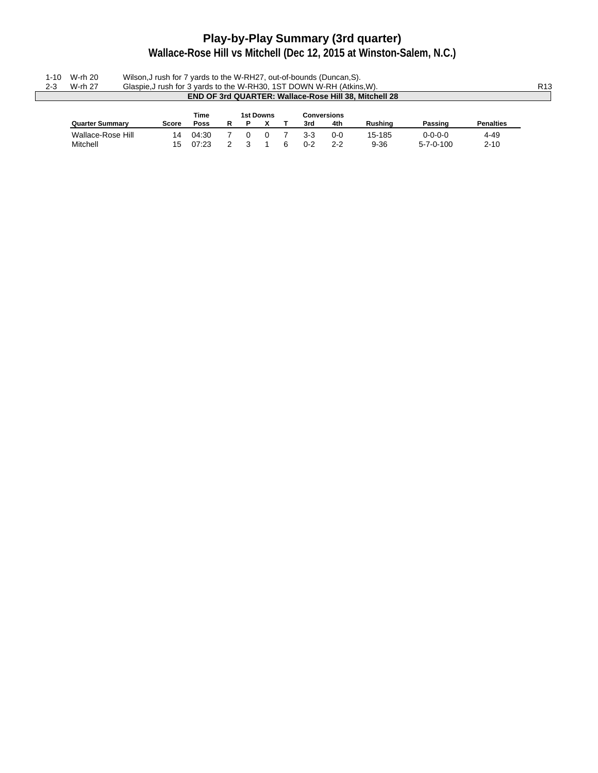# **Play-by-Play Summary (3rd quarter)**

|         | 1-10 W-rh 20 | Wilson, J rush for 7 yards to the W-RH27, out-of-bounds (Duncan, S).  |                 |
|---------|--------------|-----------------------------------------------------------------------|-----------------|
| $2 - 3$ | W-rh 27      | Glaspie, J rush for 3 yards to the W-RH30, 1ST DOWN W-RH (Atkins, W). | R <sub>13</sub> |
|         |              | <b>END OF 3rd QUARTER: Wallace-Rose Hill 38. Mitchell 28</b>          |                 |
|         |              |                                                                       |                 |

|                        |       | <b>Time</b> |  | 1st Downs |   |         | Conversions |          |                   |                  |
|------------------------|-------|-------------|--|-----------|---|---------|-------------|----------|-------------------|------------------|
| <b>Quarter Summary</b> | Score | Poss        |  |           |   | 3rd     | 4th         | Rushina  | Passing           | <b>Penalties</b> |
| Wallace-Rose Hill      | 14    | 04:30       |  |           |   | 3-3     | 0-0         | 15-185   | $0 - 0 - 0 - 0$   | 4-49             |
| Mitchell               |       | 07:23       |  |           | 6 | $0 - 2$ | 2-2         | $9 - 36$ | $5 - 7 - 0 - 100$ | $2 - 10$         |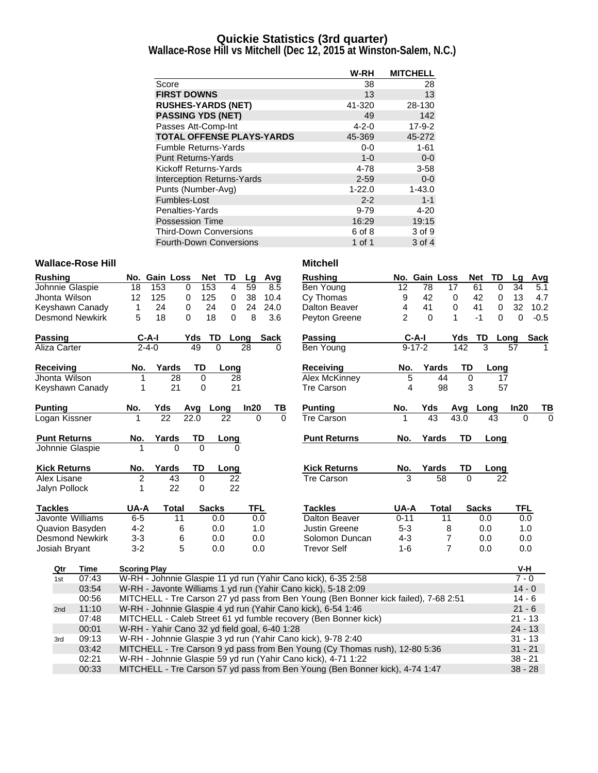### **Quickie Statistics (3rd quarter)**

**Wallace-Rose Hill vs Mitchell (Dec 12, 2015 at Winston-Salem, N.C.)**

|                                  | W-RH        | <b>MITCHELL</b> |
|----------------------------------|-------------|-----------------|
| Score                            | 38          | 28              |
| <b>FIRST DOWNS</b>               | 13          | 13              |
| <b>RUSHES-YARDS (NET)</b>        | 41-320      | 28-130          |
| <b>PASSING YDS (NET)</b>         | 49          | 142             |
| Passes Att-Comp-Int              | $4 - 2 - 0$ | $17-9-2$        |
| <b>TOTAL OFFENSE PLAYS-YARDS</b> | 45-369      | 45-272          |
| <b>Fumble Returns-Yards</b>      | $0-0$       | $1 - 61$        |
| <b>Punt Returns-Yards</b>        | $1 - 0$     | $0-0$           |
| Kickoff Returns-Yards            | 4-78        | $3 - 58$        |
| Interception Returns-Yards       | $2 - 59$    | $0-0$           |
| Punts (Number-Avg)               | $1 - 22.0$  | $1 - 43.0$      |
| Fumbles-Lost                     | $2 - 2$     | $1 - 1$         |
| Penalties-Yards                  | $9 - 79$    | $4 - 20$        |
| <b>Possession Time</b>           | 16:29       | 19:15           |
| <b>Third-Down Conversions</b>    | 6 of 8      | 3 of 9          |
| <b>Fourth-Down Conversions</b>   | 1 of 1      | 3 of 4          |

#### **Wallace-Rose Hill Mitchell**

| <b>Rushing</b>      |                        |                     | No. Gain Loss                                 | Net               | <b>TD</b>       | Lg         | Avg      | <b>Rushing</b>                                                                      |                | No. Gain Loss |                | <b>Net</b><br>TD  | Lq          | Avg         |
|---------------------|------------------------|---------------------|-----------------------------------------------|-------------------|-----------------|------------|----------|-------------------------------------------------------------------------------------|----------------|---------------|----------------|-------------------|-------------|-------------|
|                     | Johnnie Glaspie        | 18                  | 153                                           | 153<br>0          | 4               | 59         | 8.5      | Ben Young                                                                           | 12             | 78            | 17             | 61<br>0           | 34          | 5.1         |
| Jhonta Wilson       |                        | 12                  | 125                                           | 125<br>0          | 0               | 38         | 10.4     | Cy Thomas                                                                           | 9              | 42            | $\mathbf 0$    | 42<br>0           | 13          | 4.7         |
|                     | Keyshawn Canady        | 1                   | 24                                            | $\mathbf 0$<br>24 | $\mathbf 0$     | 24         | 24.0     | Dalton Beaver                                                                       | 4              | 41            | 0              | 41<br>$\mathbf 0$ | 32          | 10.2        |
|                     | <b>Desmond Newkirk</b> | 5                   | 18                                            | $\Omega$<br>18    | 0               | 8          | 3.6      | Peyton Greene                                                                       | $\overline{2}$ | $\Omega$      | 1              | $-1$<br>$\Omega$  | $\mathbf 0$ | $-0.5$      |
| <b>Passing</b>      |                        | $C-A-I$             |                                               | Yds<br>TD         |                 | Long       | Sack     | Passing                                                                             | $C-A-I$        |               | Yds            | TD                | Long        | <b>Sack</b> |
| Aliza Carter        |                        | $2 - 4 - 0$         |                                               | 49                | $\Omega$        | 28         | 0        | Ben Young                                                                           | $9 - 17 - 2$   |               | 142            | 3                 | 57          |             |
| <b>Receiving</b>    |                        | No.                 | Yards                                         | TD                | Long            |            |          | <b>Receiving</b>                                                                    | No.            | Yards         | TD             | Long              |             |             |
| Jhonta Wilson       |                        | 1                   | 28                                            | $\Omega$          | 28              |            |          | <b>Alex McKinney</b>                                                                | 5              | 44            | 0              | 17                |             |             |
|                     | Keyshawn Canady        | 1                   | 21                                            | 0                 | 21              |            |          | <b>Tre Carson</b>                                                                   | 4              | 98            | 3              | 57                |             |             |
| <b>Punting</b>      |                        | No.                 | Yds                                           | Avg               | Long            | In20       | ΤВ       | <b>Punting</b>                                                                      | No.            | Yds           | Avg            | Long              | In20        | TВ          |
| Logan Kissner       |                        |                     | 22                                            | 22.0              | 22              | $\Omega$   | $\Omega$ | <b>Tre Carson</b>                                                                   |                | 43            | 43.0           | 43                | $\Omega$    | $\Omega$    |
| <b>Punt Returns</b> |                        | No.                 | Yards                                         | TD                | Long            |            |          | <b>Punt Returns</b>                                                                 | No.            | Yards         | TD             | Long              |             |             |
|                     | Johnnie Glaspie        |                     | $\Omega$                                      | $\Omega$          | 0               |            |          |                                                                                     |                |               |                |                   |             |             |
| <b>Kick Returns</b> |                        | No.                 | Yards                                         | TD                | Long            |            |          | <b>Kick Returns</b>                                                                 | No.            | Yards         | TD             | Long              |             |             |
| Alex Lisane         |                        | $\overline{c}$      | $\overline{43}$                               | $\mathbf 0$       | $\overline{22}$ |            |          | <b>Tre Carson</b>                                                                   | 3              | 58            | $\Omega$       | 22                |             |             |
| Jalyn Pollock       |                        | 1                   | 22                                            | 0                 | 22              |            |          |                                                                                     |                |               |                |                   |             |             |
| <b>Tackles</b>      |                        | UA-A                | <b>Total</b>                                  | <b>Sacks</b>      |                 | <b>TFL</b> |          | <b>Tackles</b>                                                                      | UA-A           | <b>Total</b>  |                | <b>Sacks</b>      | <b>TFL</b>  |             |
|                     | Javonte Williams       | $6-5$               | 11                                            |                   | 0.0             | 0.0        |          | Dalton Beaver                                                                       | $0 - 11$       | 11            |                | 0.0               | 0.0         |             |
|                     | Quavion Basyden        | $4 - 2$             | 6                                             |                   | 0.0             | 1.0        |          | <b>Justin Greene</b>                                                                | $5 - 3$        |               | 8              | 0.0               | 1.0         |             |
|                     | <b>Desmond Newkirk</b> | $3 - 3$             | 6                                             |                   | 0.0             | 0.0        |          | Solomon Duncan                                                                      | $4 - 3$        |               | 7              | 0.0               | 0.0         |             |
| Josiah Bryant       |                        | $3 - 2$             | 5                                             |                   | 0.0             | 0.0        |          | <b>Trevor Self</b>                                                                  | $1 - 6$        |               | $\overline{7}$ | 0.0               | 0.0         |             |
| Qtr                 | Time                   | <b>Scoring Play</b> |                                               |                   |                 |            |          |                                                                                     |                |               |                |                   | V-H         |             |
| 1st                 | 07:43                  |                     |                                               |                   |                 |            |          | W-RH - Johnnie Glaspie 11 yd run (Yahir Cano kick), 6-35 2:58                       |                |               |                |                   | $7 - 0$     |             |
|                     | 03:54                  |                     |                                               |                   |                 |            |          | W-RH - Javonte Williams 1 yd run (Yahir Cano kick), 5-18 2:09                       |                |               |                |                   | $14 - 0$    |             |
|                     | 00:56                  |                     |                                               |                   |                 |            |          | MITCHELL - Tre Carson 27 yd pass from Ben Young (Ben Bonner kick failed), 7-68 2:51 |                |               |                |                   | $14 - 6$    |             |
| 2nd                 | 11:10                  |                     |                                               |                   |                 |            |          | W-RH - Johnnie Glaspie 4 yd run (Yahir Cano kick), 6-54 1:46                        |                |               |                |                   | $21 - 6$    |             |
|                     | 07:48                  |                     |                                               |                   |                 |            |          | MITCHELL - Caleb Street 61 yd fumble recovery (Ben Bonner kick)                     |                |               |                |                   | $21 - 13$   |             |
|                     | 00:01                  |                     | W-RH - Yahir Cano 32 yd field goal, 6-40 1:28 |                   |                 |            |          |                                                                                     |                |               |                |                   | $24 - 13$   |             |
| 3rd                 | 09:13                  |                     |                                               |                   |                 |            |          | W-RH - Johnnie Glaspie 3 yd run (Yahir Cano kick), 9-78 2:40                        |                |               |                |                   | $31 - 13$   |             |
|                     | 03:42                  |                     |                                               |                   |                 |            |          | MITCHELL - Tre Carson 9 yd pass from Ben Young (Cy Thomas rush), 12-80 5:36         |                |               |                |                   | $31 - 21$   |             |
|                     | 02:21                  |                     |                                               |                   |                 |            |          | W-RH - Johnnie Glaspie 59 yd run (Yahir Cano kick), 4-71 1:22                       |                |               |                |                   | $38 - 21$   |             |
|                     | 00:33                  |                     |                                               |                   |                 |            |          | MITCHELL - Tre Carson 57 yd pass from Ben Young (Ben Bonner kick), 4-74 1:47        |                |               |                |                   | $38 - 28$   |             |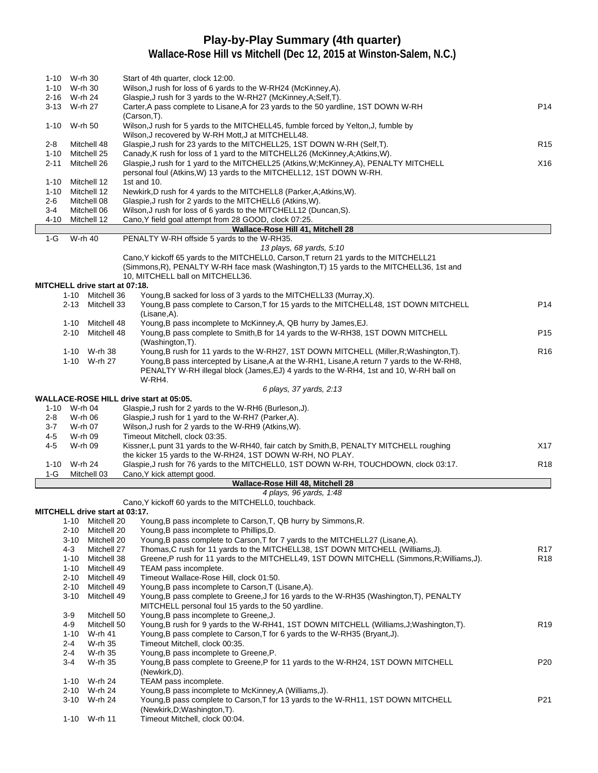# **Play-by-Play Summary (4th quarter)**

|                 | 1-10 W-rh 30     |                                       | Start of 4th quarter, clock 12:00.                                                                                                                                                   |                 |
|-----------------|------------------|---------------------------------------|--------------------------------------------------------------------------------------------------------------------------------------------------------------------------------------|-----------------|
|                 | 1-10 W-rh 30     |                                       | Wilson, J rush for loss of 6 yards to the W-RH24 (McKinney, A).                                                                                                                      |                 |
|                 | 2-16 W-rh 24     |                                       | Glaspie, J rush for 3 yards to the W-RH27 (McKinney, A; Self, T).                                                                                                                    |                 |
|                 | 3-13 W-rh 27     |                                       | Carter, A pass complete to Lisane, A for 23 yards to the 50 yardline, 1ST DOWN W-RH                                                                                                  | P <sub>14</sub> |
|                 |                  |                                       | (Carson, T).                                                                                                                                                                         |                 |
|                 | 1-10 W-rh 50     |                                       | Wilson, J rush for 5 yards to the MITCHELL45, fumble forced by Yelton, J, fumble by                                                                                                  |                 |
|                 |                  |                                       | Wilson, J recovered by W-RH Mott, J at MITCHELL48.                                                                                                                                   |                 |
| $2 - 8$<br>1-10 |                  | Mitchell 48<br>Mitchell 25            | Glaspie, J rush for 23 yards to the MITCHELL25, 1ST DOWN W-RH (Self, T).<br>Canady, K rush for loss of 1 yard to the MITCHELL26 (McKinney, A; Atkins, W).                            | R <sub>15</sub> |
| 2-11            |                  | Mitchell 26                           | Glaspie, J rush for 1 yard to the MITCHELL25 (Atkins, W; McKinney, A), PENALTY MITCHELL                                                                                              | X16             |
|                 |                  |                                       | personal foul (Atkins, W) 13 yards to the MITCHELL12, 1ST DOWN W-RH.                                                                                                                 |                 |
| 1-10            |                  | Mitchell 12                           | 1st and $10$ .                                                                                                                                                                       |                 |
| 1-10            |                  | Mitchell 12                           | Newkirk, D rush for 4 yards to the MITCHELL8 (Parker, A; Atkins, W).                                                                                                                 |                 |
| 2-6             |                  | Mitchell 08                           | Glaspie, J rush for 2 yards to the MITCHELL6 (Atkins, W).                                                                                                                            |                 |
| $3 - 4$         |                  | Mitchell 06                           | Wilson, J rush for loss of 6 yards to the MITCHELL12 (Duncan, S).                                                                                                                    |                 |
| 4-10            |                  | Mitchell 12                           | Cano, Y field goal attempt from 28 GOOD, clock 07:25.                                                                                                                                |                 |
|                 |                  |                                       | Wallace-Rose Hill 41, Mitchell 28                                                                                                                                                    |                 |
| $1-G$           | W-rh 40          |                                       | PENALTY W-RH offside 5 yards to the W-RH35.                                                                                                                                          |                 |
|                 |                  |                                       | 13 plays, 68 yards, 5:10<br>Cano, Y kickoff 65 yards to the MITCHELLO, Carson, T return 21 yards to the MITCHELL21                                                                   |                 |
|                 |                  |                                       | (Simmons, R), PENALTY W-RH face mask (Washington, T) 15 yards to the MITCHELL36, 1st and                                                                                             |                 |
|                 |                  |                                       | 10, MITCHELL ball on MITCHELL36.                                                                                                                                                     |                 |
|                 |                  | <b>MITCHELL drive start at 07:18.</b> |                                                                                                                                                                                      |                 |
|                 |                  | 1-10 Mitchell 36                      | Young, B sacked for loss of 3 yards to the MITCHELL33 (Murray, X).                                                                                                                   |                 |
|                 |                  | 2-13 Mitchell 33                      | Young, B pass complete to Carson, T for 15 yards to the MITCHELL48, 1ST DOWN MITCHELL                                                                                                | P <sub>14</sub> |
|                 |                  |                                       | (Lisane,A).                                                                                                                                                                          |                 |
|                 |                  | 1-10 Mitchell 48                      | Young, B pass incomplete to McKinney, A, QB hurry by James, EJ.                                                                                                                      |                 |
|                 |                  | 2-10 Mitchell 48                      | Young, B pass complete to Smith, B for 14 yards to the W-RH38, 1ST DOWN MITCHELL                                                                                                     | P <sub>15</sub> |
|                 |                  |                                       | (Washington, T).                                                                                                                                                                     |                 |
|                 |                  | 1-10 W-rh 38                          | Young, B rush for 11 yards to the W-RH27, 1ST DOWN MITCHELL (Miller, R; Washington, T).                                                                                              | R <sub>16</sub> |
|                 |                  | 1-10 W-rh 27                          | Young, B pass intercepted by Lisane, A at the W-RH1, Lisane, A return 7 yards to the W-RH8,<br>PENALTY W-RH illegal block (James, EJ) 4 yards to the W-RH4, 1st and 10, W-RH ball on |                 |
|                 |                  |                                       | W-RH4.                                                                                                                                                                               |                 |
|                 |                  |                                       | 6 plays, 37 yards, 2:13                                                                                                                                                              |                 |
|                 |                  |                                       | <b>WALLACE-ROSE HILL drive start at 05:05.</b>                                                                                                                                       |                 |
|                 | 1-10 W-rh 04     |                                       | Glaspie, J rush for 2 yards to the W-RH6 (Burleson, J).                                                                                                                              |                 |
| 2-8             | W-rh 06          |                                       | Glaspie, J rush for 1 yard to the W-RH7 (Parker, A).                                                                                                                                 |                 |
| 3-7             | W-rh 07          |                                       | Wilson, J rush for 2 yards to the W-RH9 (Atkins, W).                                                                                                                                 |                 |
| 4-5             | W-rh 09          |                                       | Timeout Mitchell, clock 03:35.                                                                                                                                                       |                 |
| 4-5             | W-rh 09          |                                       | Kissner, L punt 31 yards to the W-RH40, fair catch by Smith, B, PENALTY MITCHELL roughing                                                                                            | X17             |
|                 | W-rh 24          |                                       | the kicker 15 yards to the W-RH24, 1ST DOWN W-RH, NO PLAY.<br>Glaspie, J rush for 76 yards to the MITCHELL0, 1ST DOWN W-RH, TOUCHDOWN, clock 03:17.                                  | R <sub>18</sub> |
| 1-10<br>$1-G$   |                  | Mitchell 03                           | Cano, Y kick attempt good.                                                                                                                                                           |                 |
|                 |                  |                                       | Wallace-Rose Hill 48, Mitchell 28                                                                                                                                                    |                 |
|                 |                  |                                       | 4 plays, 96 yards, 1:48                                                                                                                                                              |                 |
|                 |                  |                                       | Cano, Y kickoff 60 yards to the MITCHELL0, touchback.                                                                                                                                |                 |
|                 |                  | <b>MITCHELL drive start at 03:17.</b> |                                                                                                                                                                                      |                 |
|                 |                  | 1-10 Mitchell 20                      | Young, B pass incomplete to Carson, T, QB hurry by Simmons, R.                                                                                                                       |                 |
|                 | 2-10             | Mitchell 20                           | Young, B pass incomplete to Phillips, D.                                                                                                                                             |                 |
|                 |                  | 3-10 Mitchell 20                      | Young, B pass complete to Carson, T for 7 yards to the MITCHELL27 (Lisane, A).                                                                                                       |                 |
|                 | 4-3              | Mitchell 27                           | Thomas, C rush for 11 yards to the MITCHELL38, 1ST DOWN MITCHELL (Williams, J).                                                                                                      | R <sub>17</sub> |
|                 | 1-10             | Mitchell 38                           | Greene,P rush for 11 yards to the MITCHELL49, 1ST DOWN MITCHELL (Simmons,R;Williams,J).                                                                                              | R <sub>18</sub> |
|                 | 1-10<br>$2 - 10$ | Mitchell 49<br>Mitchell 49            | TEAM pass incomplete.<br>Timeout Wallace-Rose Hill, clock 01:50.                                                                                                                     |                 |
|                 | 2-10             | Mitchell 49                           | Young, B pass incomplete to Carson, T (Lisane, A).                                                                                                                                   |                 |
|                 | $3 - 10$         | Mitchell 49                           | Young, B pass complete to Greene, J for 16 yards to the W-RH35 (Washington, T), PENALTY                                                                                              |                 |
|                 |                  |                                       | MITCHELL personal foul 15 yards to the 50 yardline.                                                                                                                                  |                 |
|                 | $3-9$            | Mitchell 50                           | Young, B pass incomplete to Greene, J.                                                                                                                                               |                 |
|                 | $4 - 9$          | Mitchell 50                           | Young, B rush for 9 yards to the W-RH41, 1ST DOWN MITCHELL (Williams, J; Washington, T).                                                                                             | R <sub>19</sub> |
|                 | $1 - 10$         | W-rh 41                               | Young, B pass complete to Carson, T for 6 yards to the W-RH35 (Bryant, J).                                                                                                           |                 |
|                 | $2 - 4$          | W-rh 35                               | Timeout Mitchell, clock 00:35.                                                                                                                                                       |                 |
|                 | $2 - 4$          | W-rh 35                               | Young, B pass incomplete to Greene, P.                                                                                                                                               |                 |
|                 | $3-4$            | W-rh 35                               | Young, B pass complete to Greene, P for 11 yards to the W-RH24, 1ST DOWN MITCHELL                                                                                                    | P <sub>20</sub> |
|                 |                  |                                       | (Newkirk,D).                                                                                                                                                                         |                 |
|                 |                  | 1-10 W-rh 24                          | TEAM pass incomplete.                                                                                                                                                                |                 |
|                 |                  | 2-10 W-rh 24<br>3-10 W-rh 24          | Young, B pass incomplete to McKinney, A (Williams, J).<br>Young, B pass complete to Carson, T for 13 yards to the W-RH11, 1ST DOWN MITCHELL                                          | P <sub>21</sub> |
|                 |                  |                                       | (Newkirk, D; Washington, T).                                                                                                                                                         |                 |
|                 |                  | 1-10 W-rh 11                          | Timeout Mitchell, clock 00:04.                                                                                                                                                       |                 |
|                 |                  |                                       |                                                                                                                                                                                      |                 |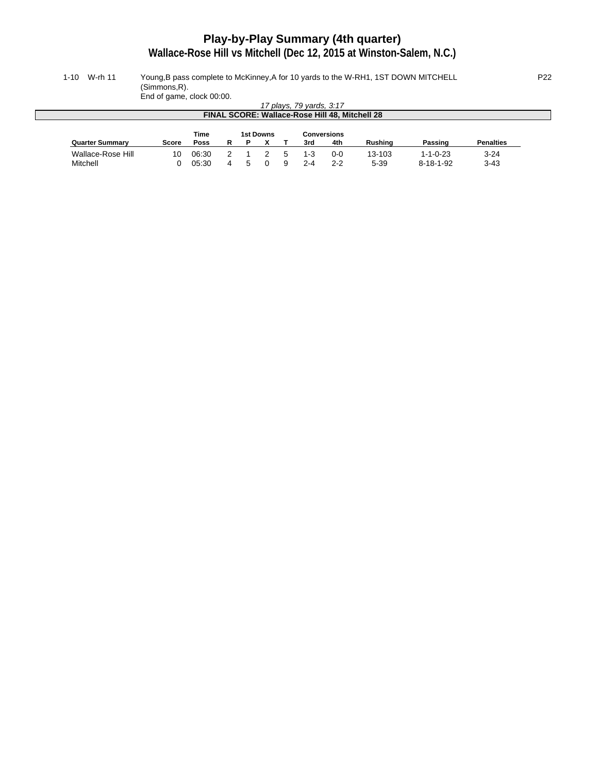# **Play-by-Play Summary (4th quarter)**

**Wallace-Rose Hill vs Mitchell (Dec 12, 2015 at Winston-Salem, N.C.)**

#### 1-10 W-rh 11 Young,B pass complete to McKinney,A for 10 yards to the W-RH1, 1ST DOWN MITCHELL P22 (Simmons,R).

End of game, clock 00:00.

|                                                | Line of garrie, clock 00.00. |             |  |   |  |  |                          |                                                |                |                   |                  |
|------------------------------------------------|------------------------------|-------------|--|---|--|--|--------------------------|------------------------------------------------|----------------|-------------------|------------------|
|                                                |                              |             |  |   |  |  | 17 plays, 79 yards, 3:17 |                                                |                |                   |                  |
|                                                |                              |             |  |   |  |  |                          | FINAL SCORE: Wallace-Rose Hill 48, Mitchell 28 |                |                   |                  |
|                                                |                              |             |  |   |  |  |                          |                                                |                |                   |                  |
| <b>Time</b><br><b>1st Downs</b><br>Conversions |                              |             |  |   |  |  |                          |                                                |                |                   |                  |
| <b>Quarter Summary</b>                         | Score                        | <b>Poss</b> |  | P |  |  | 3rd                      | 4th                                            | <b>Rushing</b> | Passing           | <b>Penalties</b> |
| Wallace-Rose Hill                              | 10                           | 06:30       |  |   |  |  | 1-3                      | 0-0                                            | 13-103         | $1 - 1 - 0 - 23$  | $3 - 24$         |
| Mitchell                                       |                              | 05:30       |  |   |  |  | 2-4                      | $2 - 2$                                        | $5 - 39$       | $8 - 18 - 1 - 92$ | 3-43             |